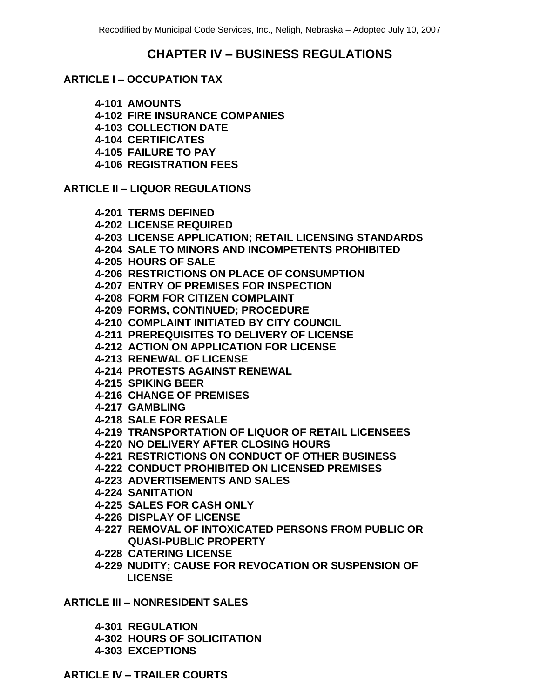# **CHAPTER IV – BUSINESS REGULATIONS**

# **ARTICLE I – OCCUPATION TAX**

**4-101 AMOUNTS**

**4-102 FIRE INSURANCE COMPANIES**

**4-103 COLLECTION DATE**

**4-104 CERTIFICATES**

**4-105 FAILURE TO PAY**

**4-106 REGISTRATION FEES**

**ARTICLE II – LIQUOR REGULATIONS**

**4-201 TERMS DEFINED 4-202 LICENSE REQUIRED 4-203 LICENSE APPLICATION; RETAIL LICENSING STANDARDS 4-204 SALE TO MINORS AND INCOMPETENTS PROHIBITED 4-205 HOURS OF SALE 4-206 RESTRICTIONS ON PLACE OF CONSUMPTION 4-207 ENTRY OF PREMISES FOR INSPECTION 4-208 FORM FOR CITIZEN COMPLAINT 4-209 FORMS, CONTINUED; PROCEDURE 4-210 COMPLAINT INITIATED BY CITY COUNCIL 4-211 PREREQUISITES TO DELIVERY OF LICENSE 4-212 ACTION ON APPLICATION FOR LICENSE 4-213 RENEWAL OF LICENSE 4-214 PROTESTS AGAINST RENEWAL 4-215 SPIKING BEER 4-216 CHANGE OF PREMISES 4-217 GAMBLING 4-218 SALE FOR RESALE 4-219 TRANSPORTATION OF LIQUOR OF RETAIL LICENSEES 4-220 NO DELIVERY AFTER CLOSING HOURS 4-221 RESTRICTIONS ON CONDUCT OF OTHER BUSINESS 4-222 CONDUCT PROHIBITED ON LICENSED PREMISES 4-223 ADVERTISEMENTS AND SALES 4-224 SANITATION 4-225 SALES FOR CASH ONLY 4-226 DISPLAY OF LICENSE 4-227 REMOVAL OF INTOXICATED PERSONS FROM PUBLIC OR QUASI-PUBLIC PROPERTY 4-228 CATERING LICENSE**

**4-229 NUDITY; CAUSE FOR REVOCATION OR SUSPENSION OF LICENSE**

**ARTICLE III – NONRESIDENT SALES**

**4-301 REGULATION**

**4-302 HOURS OF SOLICITATION**

**4-303 EXCEPTIONS**

**ARTICLE IV – TRAILER COURTS**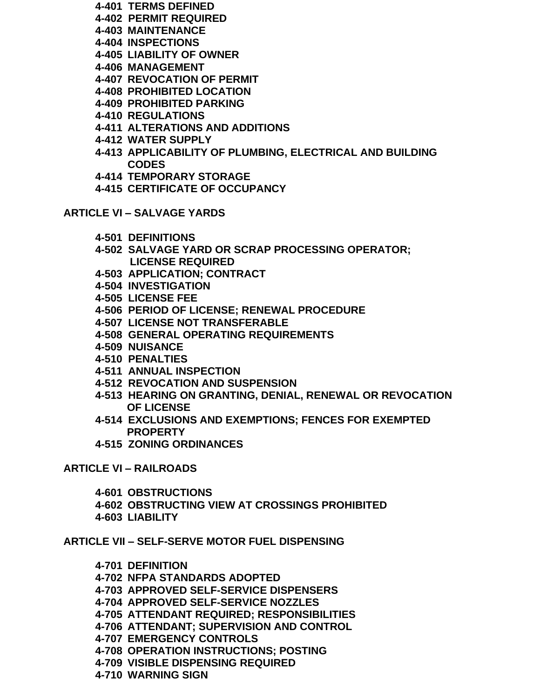- **4-401 TERMS DEFINED**
- **4-402 PERMIT REQUIRED**
- **4-403 MAINTENANCE**
- **4-404 INSPECTIONS**
- **4-405 LIABILITY OF OWNER**
- **4-406 MANAGEMENT**
- **4-407 REVOCATION OF PERMIT**
- **4-408 PROHIBITED LOCATION**
- **4-409 PROHIBITED PARKING**
- **4-410 REGULATIONS**
- **4-411 ALTERATIONS AND ADDITIONS**
- **4-412 WATER SUPPLY**
- **4-413 APPLICABILITY OF PLUMBING, ELECTRICAL AND BUILDING CODES**
- **4-414 TEMPORARY STORAGE**
- **4-415 CERTIFICATE OF OCCUPANCY**

**ARTICLE VI – SALVAGE YARDS**

- **4-501 DEFINITIONS**
- **4-502 SALVAGE YARD OR SCRAP PROCESSING OPERATOR; LICENSE REQUIRED**
- **4-503 APPLICATION; CONTRACT**
- **4-504 INVESTIGATION**
- **4-505 LICENSE FEE**
- **4-506 PERIOD OF LICENSE; RENEWAL PROCEDURE**
- **4-507 LICENSE NOT TRANSFERABLE**
- **4-508 GENERAL OPERATING REQUIREMENTS**
- **4-509 NUISANCE**
- **4-510 PENALTIES**
- **4-511 ANNUAL INSPECTION**
- **4-512 REVOCATION AND SUSPENSION**
- **4-513 HEARING ON GRANTING, DENIAL, RENEWAL OR REVOCATION OF LICENSE**
- **4-514 EXCLUSIONS AND EXEMPTIONS; FENCES FOR EXEMPTED PROPERTY**
- **4-515 ZONING ORDINANCES**

**ARTICLE VI – RAILROADS**

- **4-601 OBSTRUCTIONS**
- **4-602 OBSTRUCTING VIEW AT CROSSINGS PROHIBITED**
- **4-603 LIABILITY**

**ARTICLE VII – SELF-SERVE MOTOR FUEL DISPENSING**

- **4-701 DEFINITION**
- **4-702 NFPA STANDARDS ADOPTED**
- **4-703 APPROVED SELF-SERVICE DISPENSERS**
- **4-704 APPROVED SELF-SERVICE NOZZLES**
- **4-705 ATTENDANT REQUIRED; RESPONSIBILITIES**
- **4-706 ATTENDANT; SUPERVISION AND CONTROL**
- **4-707 EMERGENCY CONTROLS**
- **4-708 OPERATION INSTRUCTIONS; POSTING**
- **4-709 VISIBLE DISPENSING REQUIRED**
- **4-710 WARNING SIGN**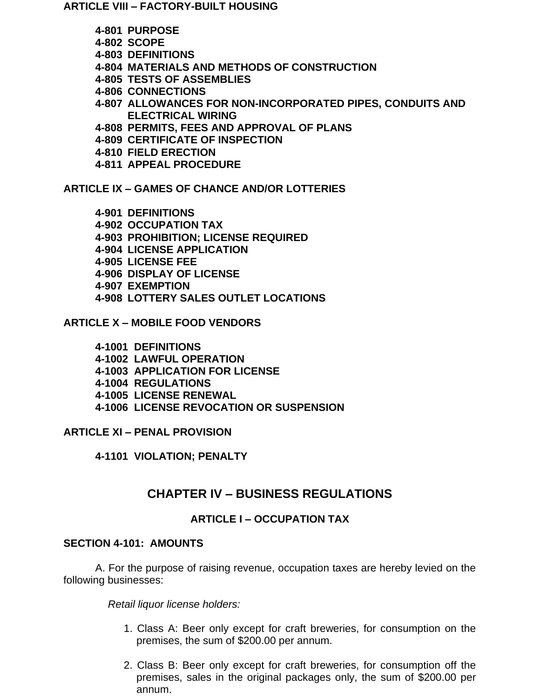**ARTICLE VIII – FACTORY-BUILT HOUSING**

- **4-801 PURPOSE**
- **4-802 SCOPE**
- **4-803 DEFINITIONS**
- **4-804 MATERIALS AND METHODS OF CONSTRUCTION**
- **4-805 TESTS OF ASSEMBLIES**
- **4-806 CONNECTIONS**
- **4-807 ALLOWANCES FOR NON-INCORPORATED PIPES, CONDUITS AND ELECTRICAL WIRING**
- **4-808 PERMITS, FEES AND APPROVAL OF PLANS**
- **4-809 CERTIFICATE OF INSPECTION**
- **4-810 FIELD ERECTION**
- **4-811 APPEAL PROCEDURE**

**ARTICLE IX – GAMES OF CHANCE AND/OR LOTTERIES**

**4-901 DEFINITIONS 4-902 OCCUPATION TAX 4-903 PROHIBITION; LICENSE REQUIRED 4-904 LICENSE APPLICATION 4-905 LICENSE FEE 4-906 DISPLAY OF LICENSE 4-907 EXEMPTION 4-908 LOTTERY SALES OUTLET LOCATIONS**

**ARTICLE X – MOBILE FOOD VENDORS**

- **4-1001 DEFINITIONS**
- **4-1002 LAWFUL OPERATION**
- **4-1003 APPLICATION FOR LICENSE**
- **4-1004 REGULATIONS**
- **4-1005 LICENSE RENEWAL**
- **4-1006 LICENSE REVOCATION OR SUSPENSION**

**ARTICLE XI – PENAL PROVISION**

**4-1101 VIOLATION; PENALTY**

# **CHAPTER IV – BUSINESS REGULATIONS**

# **ARTICLE I – OCCUPATION TAX**

# **SECTION 4-101: AMOUNTS**

A. For the purpose of raising revenue, occupation taxes are hereby levied on the following businesses:

*Retail liquor license holders:*

- 1. Class A: Beer only except for craft breweries, for consumption on the premises, the sum of \$200.00 per annum.
- 2. Class B: Beer only except for craft breweries, for consumption off the premises, sales in the original packages only, the sum of \$200.00 per annum.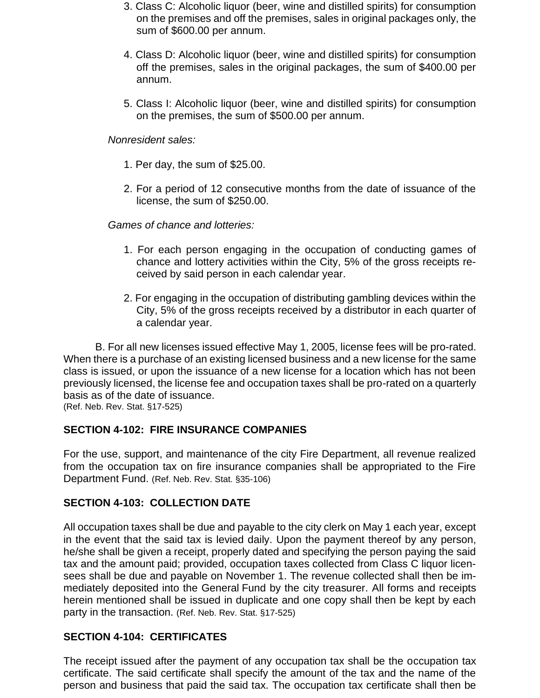- 3. Class C: Alcoholic liquor (beer, wine and distilled spirits) for consumption on the premises and off the premises, sales in original packages only, the sum of \$600.00 per annum.
- 4. Class D: Alcoholic liquor (beer, wine and distilled spirits) for consumption off the premises, sales in the original packages, the sum of \$400.00 per annum.
- 5. Class I: Alcoholic liquor (beer, wine and distilled spirits) for consumption on the premises, the sum of \$500.00 per annum.

#### *Nonresident sales:*

- 1. Per day, the sum of \$25.00.
- 2. For a period of 12 consecutive months from the date of issuance of the license, the sum of \$250.00.

#### *Games of chance and lotteries:*

- 1. For each person engaging in the occupation of conducting games of chance and lottery activities within the City, 5% of the gross receipts received by said person in each calendar year.
- 2. For engaging in the occupation of distributing gambling devices within the City, 5% of the gross receipts received by a distributor in each quarter of a calendar year.

B. For all new licenses issued effective May 1, 2005, license fees will be pro-rated. When there is a purchase of an existing licensed business and a new license for the same class is issued, or upon the issuance of a new license for a location which has not been previously licensed, the license fee and occupation taxes shall be pro-rated on a quarterly basis as of the date of issuance.

(Ref. Neb. Rev. Stat. §17-525)

### **SECTION 4-102: FIRE INSURANCE COMPANIES**

For the use, support, and maintenance of the city Fire Department, all revenue realized from the occupation tax on fire insurance companies shall be appropriated to the Fire Department Fund. (Ref. Neb. Rev. Stat. §35-106)

### **SECTION 4-103: COLLECTION DATE**

All occupation taxes shall be due and payable to the city clerk on May 1 each year, except in the event that the said tax is levied daily. Upon the payment thereof by any person, he/she shall be given a receipt, properly dated and specifying the person paying the said tax and the amount paid; provided, occupation taxes collected from Class C liquor licensees shall be due and payable on November 1. The revenue collected shall then be immediately deposited into the General Fund by the city treasurer. All forms and receipts herein mentioned shall be issued in duplicate and one copy shall then be kept by each party in the transaction. (Ref. Neb. Rev. Stat. §17-525)

### **SECTION 4-104: CERTIFICATES**

The receipt issued after the payment of any occupation tax shall be the occupation tax certificate. The said certificate shall specify the amount of the tax and the name of the person and business that paid the said tax. The occupation tax certificate shall then be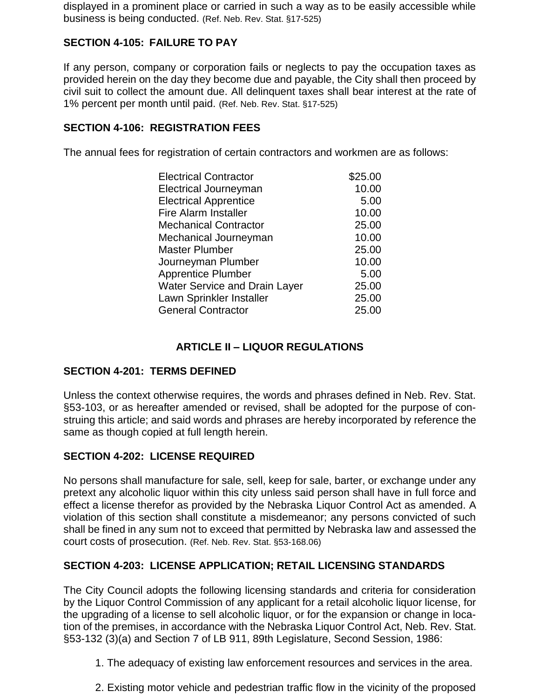displayed in a prominent place or carried in such a way as to be easily accessible while business is being conducted. (Ref. Neb. Rev. Stat. §17-525)

# **SECTION 4-105: FAILURE TO PAY**

If any person, company or corporation fails or neglects to pay the occupation taxes as provided herein on the day they become due and payable, the City shall then proceed by civil suit to collect the amount due. All delinquent taxes shall bear interest at the rate of 1% percent per month until paid. (Ref. Neb. Rev. Stat. §17-525)

# **SECTION 4-106: REGISTRATION FEES**

The annual fees for registration of certain contractors and workmen are as follows:

| <b>Electrical Contractor</b>         | \$25.00 |
|--------------------------------------|---------|
| <b>Electrical Journeyman</b>         | 10.00   |
| <b>Electrical Apprentice</b>         | 5.00    |
| <b>Fire Alarm Installer</b>          | 10.00   |
| <b>Mechanical Contractor</b>         | 25.00   |
| Mechanical Journeyman                | 10.00   |
| <b>Master Plumber</b>                | 25.00   |
| Journeyman Plumber                   | 10.00   |
| <b>Apprentice Plumber</b>            | 5.00    |
| <b>Water Service and Drain Layer</b> | 25.00   |
| Lawn Sprinkler Installer             | 25.00   |
| <b>General Contractor</b>            | 25.00   |

# **ARTICLE II – LIQUOR REGULATIONS**

# **SECTION 4-201: TERMS DEFINED**

Unless the context otherwise requires, the words and phrases defined in Neb. Rev. Stat. §53-103, or as hereafter amended or revised, shall be adopted for the purpose of construing this article; and said words and phrases are hereby incorporated by reference the same as though copied at full length herein.

# **SECTION 4-202: LICENSE REQUIRED**

No persons shall manufacture for sale, sell, keep for sale, barter, or exchange under any pretext any alcoholic liquor within this city unless said person shall have in full force and effect a license therefor as provided by the Nebraska Liquor Control Act as amended. A violation of this section shall constitute a misdemeanor; any persons convicted of such shall be fined in any sum not to exceed that permitted by Nebraska law and assessed the court costs of prosecution. (Ref. Neb. Rev. Stat. §53-168.06)

# **SECTION 4-203: LICENSE APPLICATION; RETAIL LICENSING STANDARDS**

The City Council adopts the following licensing standards and criteria for consideration by the Liquor Control Commission of any applicant for a retail alcoholic liquor license, for the upgrading of a license to sell alcoholic liquor, or for the expansion or change in location of the premises, in accordance with the Nebraska Liquor Control Act, Neb. Rev. Stat. §53-132 (3)(a) and Section 7 of LB 911, 89th Legislature, Second Session, 1986:

- 1. The adequacy of existing law enforcement resources and services in the area.
- 2. Existing motor vehicle and pedestrian traffic flow in the vicinity of the proposed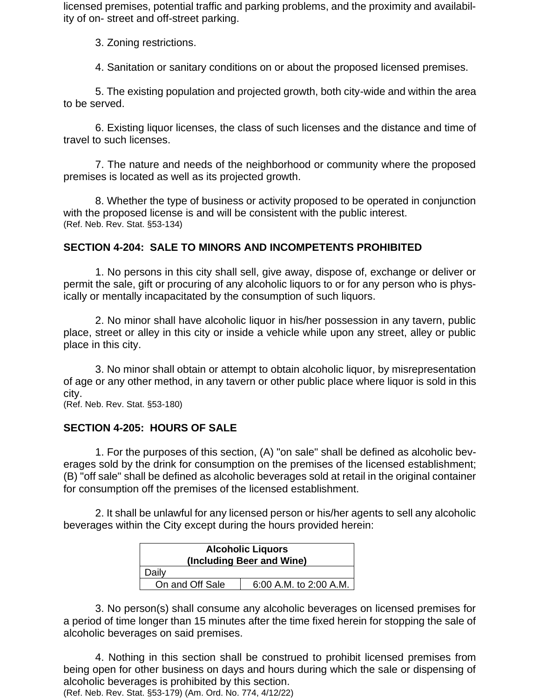licensed premises, potential traffic and parking problems, and the proximity and availability of on- street and off-street parking.

3. Zoning restrictions.

4. Sanitation or sanitary conditions on or about the proposed licensed premises.

5. The existing population and projected growth, both city-wide and within the area to be served.

6. Existing liquor licenses, the class of such licenses and the distance and time of travel to such licenses.

7. The nature and needs of the neighborhood or community where the proposed premises is located as well as its projected growth.

8. Whether the type of business or activity proposed to be operated in conjunction with the proposed license is and will be consistent with the public interest. (Ref. Neb. Rev. Stat. §53-134)

### **SECTION 4-204: SALE TO MINORS AND INCOMPETENTS PROHIBITED**

1. No persons in this city shall sell, give away, dispose of, exchange or deliver or permit the sale, gift or procuring of any alcoholic liquors to or for any person who is physically or mentally incapacitated by the consumption of such liquors.

2. No minor shall have alcoholic liquor in his/her possession in any tavern, public place, street or alley in this city or inside a vehicle while upon any street, alley or public place in this city.

3. No minor shall obtain or attempt to obtain alcoholic liquor, by misrepresentation of age or any other method, in any tavern or other public place where liquor is sold in this city.

(Ref. Neb. Rev. Stat. §53-180)

# **SECTION 4-205: HOURS OF SALE**

1. For the purposes of this section, (A) "on sale" shall be defined as alcoholic beverages sold by the drink for consumption on the premises of the licensed establishment; (B) "off sale" shall be defined as alcoholic beverages sold at retail in the original container for consumption off the premises of the licensed establishment.

2. It shall be unlawful for any licensed person or his/her agents to sell any alcoholic beverages within the City except during the hours provided herein:

| <b>Alcoholic Liquors</b><br>(Including Beer and Wine) |                        |  |  |  |
|-------------------------------------------------------|------------------------|--|--|--|
| Daily                                                 |                        |  |  |  |
| On and Off Sale                                       | 6:00 A.M. to 2:00 A.M. |  |  |  |

3. No person(s) shall consume any alcoholic beverages on licensed premises for a period of time longer than 15 minutes after the time fixed herein for stopping the sale of alcoholic beverages on said premises.

4. Nothing in this section shall be construed to prohibit licensed premises from being open for other business on days and hours during which the sale or dispensing of alcoholic beverages is prohibited by this section.

(Ref. Neb. Rev. Stat. §53-179) (Am. Ord. No. 774, 4/12/22)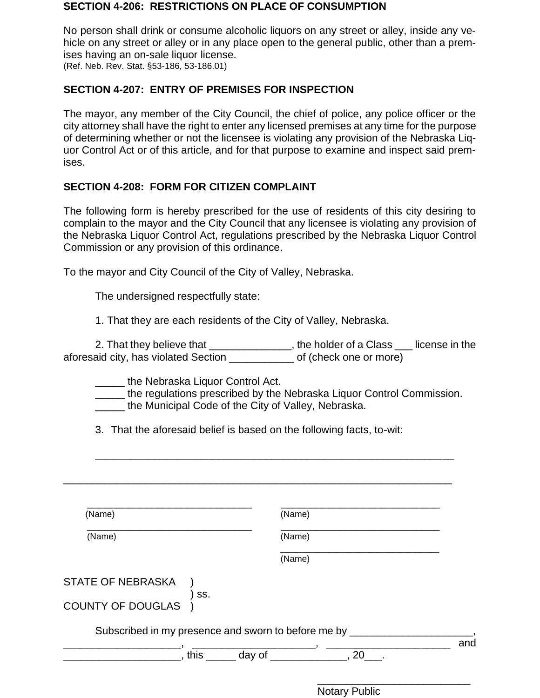#### **SECTION 4-206: RESTRICTIONS ON PLACE OF CONSUMPTION**

No person shall drink or consume alcoholic liquors on any street or alley, inside any vehicle on any street or alley or in any place open to the general public, other than a premises having an on-sale liquor license. (Ref. Neb. Rev. Stat. §53-186, 53-186.01)

### **SECTION 4-207: ENTRY OF PREMISES FOR INSPECTION**

The mayor, any member of the City Council, the chief of police, any police officer or the city attorney shall have the right to enter any licensed premises at any time for the purpose of determining whether or not the licensee is violating any provision of the Nebraska Liquor Control Act or of this article, and for that purpose to examine and inspect said premises.

### **SECTION 4-208: FORM FOR CITIZEN COMPLAINT**

The following form is hereby prescribed for the use of residents of this city desiring to complain to the mayor and the City Council that any licensee is violating any provision of the Nebraska Liquor Control Act, regulations prescribed by the Nebraska Liquor Control Commission or any provision of this ordinance.

To the mayor and City Council of the City of Valley, Nebraska.

The undersigned respectfully state:

1. That they are each residents of the City of Valley, Nebraska.

2. That they believe that \_\_\_\_\_\_\_\_\_\_\_\_\_, the holder of a Class \_\_\_ license in the aforesaid city, has violated Section \_\_\_\_\_\_\_\_\_\_\_ of (check one or more)

**Letter School** the Nebraska Liquor Control Act.

**\_\_\_\_\_** the regulations prescribed by the Nebraska Liquor Control Commission.

\_\_\_\_\_\_\_\_\_\_\_\_\_\_\_\_\_\_\_\_\_\_\_\_\_\_\_\_\_\_\_\_\_\_\_\_\_\_\_\_\_\_\_\_\_\_\_\_\_\_\_\_\_\_\_\_\_\_\_\_\_

\_\_\_\_\_ the Municipal Code of the City of Valley, Nebraska.

3. That the aforesaid belief is based on the following facts, to-wit:

| (Name)                                              |     | (Name)                                         |  |     |
|-----------------------------------------------------|-----|------------------------------------------------|--|-----|
| (Name)                                              |     | (Name)                                         |  |     |
|                                                     |     | (Name)                                         |  |     |
| <b>STATE OF NEBRASKA</b>                            |     |                                                |  |     |
| COUNTY OF DOUGLAS                                   | SS. |                                                |  |     |
| Subscribed in my presence and sworn to before me by |     |                                                |  |     |
|                                                     |     | , this $\frac{1}{2}$ day of $\frac{1}{2}$ , 20 |  | and |

Notary Public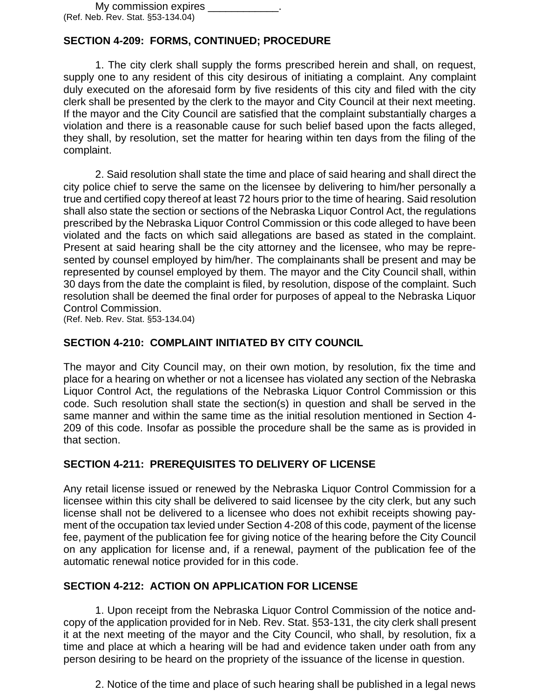# **SECTION 4-209: FORMS, CONTINUED; PROCEDURE**

1. The city clerk shall supply the forms prescribed herein and shall, on request, supply one to any resident of this city desirous of initiating a complaint. Any complaint duly executed on the aforesaid form by five residents of this city and filed with the city clerk shall be presented by the clerk to the mayor and City Council at their next meeting. If the mayor and the City Council are satisfied that the complaint substantially charges a violation and there is a reasonable cause for such belief based upon the facts alleged, they shall, by resolution, set the matter for hearing within ten days from the filing of the complaint.

2. Said resolution shall state the time and place of said hearing and shall direct the city police chief to serve the same on the licensee by delivering to him/her personally a true and certified copy thereof at least 72 hours prior to the time of hearing. Said resolution shall also state the section or sections of the Nebraska Liquor Control Act, the regulations prescribed by the Nebraska Liquor Control Commission or this code alleged to have been violated and the facts on which said allegations are based as stated in the complaint. Present at said hearing shall be the city attorney and the licensee, who may be represented by counsel employed by him/her. The complainants shall be present and may be represented by counsel employed by them. The mayor and the City Council shall, within 30 days from the date the complaint is filed, by resolution, dispose of the complaint. Such resolution shall be deemed the final order for purposes of appeal to the Nebraska Liquor Control Commission.

(Ref. Neb. Rev. Stat. §53-134.04)

### **SECTION 4-210: COMPLAINT INITIATED BY CITY COUNCIL**

The mayor and City Council may, on their own motion, by resolution, fix the time and place for a hearing on whether or not a licensee has violated any section of the Nebraska Liquor Control Act, the regulations of the Nebraska Liquor Control Commission or this code. Such resolution shall state the section(s) in question and shall be served in the same manner and within the same time as the initial resolution mentioned in Section 4- 209 of this code. Insofar as possible the procedure shall be the same as is provided in that section.

### **SECTION 4-211: PREREQUISITES TO DELIVERY OF LICENSE**

Any retail license issued or renewed by the Nebraska Liquor Control Commission for a licensee within this city shall be delivered to said licensee by the city clerk, but any such license shall not be delivered to a licensee who does not exhibit receipts showing payment of the occupation tax levied under Section 4-208 of this code, payment of the license fee, payment of the publication fee for giving notice of the hearing before the City Council on any application for license and, if a renewal, payment of the publication fee of the automatic renewal notice provided for in this code.

### **SECTION 4-212: ACTION ON APPLICATION FOR LICENSE**

1. Upon receipt from the Nebraska Liquor Control Commission of the notice andcopy of the application provided for in Neb. Rev. Stat. §53-131, the city clerk shall present it at the next meeting of the mayor and the City Council, who shall, by resolution, fix a time and place at which a hearing will be had and evidence taken under oath from any person desiring to be heard on the propriety of the issuance of the license in question.

2. Notice of the time and place of such hearing shall be published in a legal news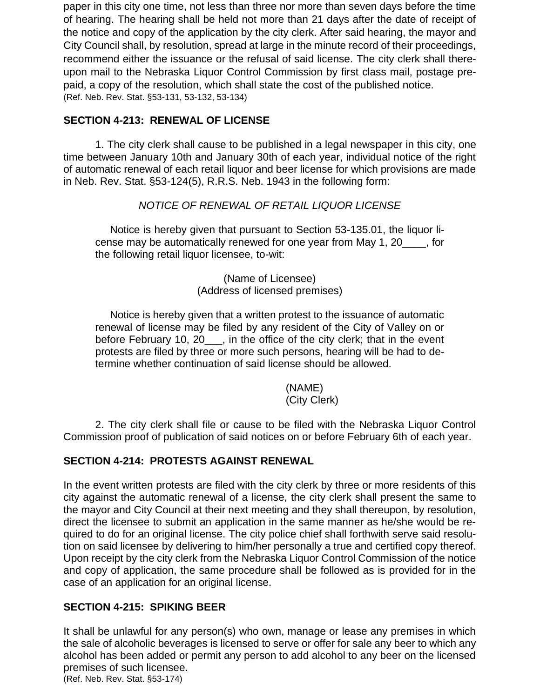paper in this city one time, not less than three nor more than seven days before the time of hearing. The hearing shall be held not more than 21 days after the date of receipt of the notice and copy of the application by the city clerk. After said hearing, the mayor and City Council shall, by resolution, spread at large in the minute record of their proceedings, recommend either the issuance or the refusal of said license. The city clerk shall thereupon mail to the Nebraska Liquor Control Commission by first class mail, postage prepaid, a copy of the resolution, which shall state the cost of the published notice. (Ref. Neb. Rev. Stat. §53-131, 53-132, 53-134)

### **SECTION 4-213: RENEWAL OF LICENSE**

1. The city clerk shall cause to be published in a legal newspaper in this city, one time between January 10th and January 30th of each year, individual notice of the right of automatic renewal of each retail liquor and beer license for which provisions are made in Neb. Rev. Stat. §53-124(5), R.R.S. Neb. 1943 in the following form:

### *NOTICE OF RENEWAL OF RETAIL LIQUOR LICENSE*

 Notice is hereby given that pursuant to Section 53-135.01, the liquor license may be automatically renewed for one year from May 1, 20\_\_\_\_, for the following retail liquor licensee, to-wit:

> (Name of Licensee) (Address of licensed premises)

 Notice is hereby given that a written protest to the issuance of automatic renewal of license may be filed by any resident of the City of Valley on or before February 10, 20\_\_\_, in the office of the city clerk; that in the event protests are filed by three or more such persons, hearing will be had to determine whether continuation of said license should be allowed.

### (NAME) (City Clerk)

2. The city clerk shall file or cause to be filed with the Nebraska Liquor Control Commission proof of publication of said notices on or before February 6th of each year.

### **SECTION 4-214: PROTESTS AGAINST RENEWAL**

In the event written protests are filed with the city clerk by three or more residents of this city against the automatic renewal of a license, the city clerk shall present the same to the mayor and City Council at their next meeting and they shall thereupon, by resolution, direct the licensee to submit an application in the same manner as he/she would be required to do for an original license. The city police chief shall forthwith serve said resolution on said licensee by delivering to him/her personally a true and certified copy thereof. Upon receipt by the city clerk from the Nebraska Liquor Control Commission of the notice and copy of application, the same procedure shall be followed as is provided for in the case of an application for an original license.

### **SECTION 4-215: SPIKING BEER**

It shall be unlawful for any person(s) who own, manage or lease any premises in which the sale of alcoholic beverages is licensed to serve or offer for sale any beer to which any alcohol has been added or permit any person to add alcohol to any beer on the licensed premises of such licensee. (Ref. Neb. Rev. Stat. §53-174)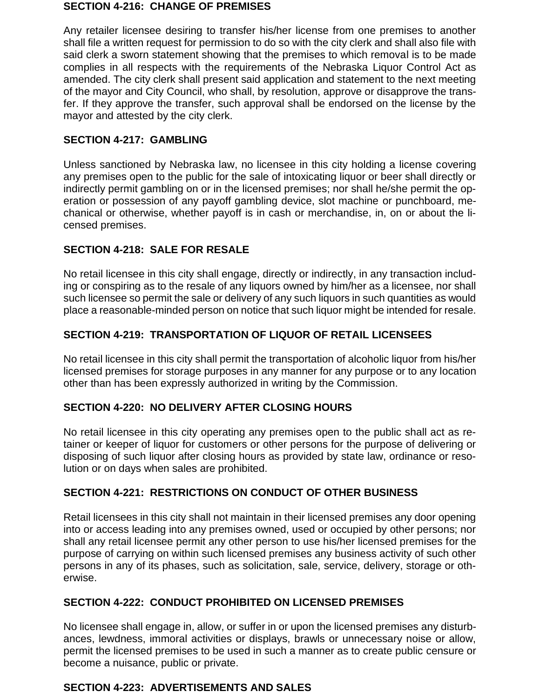#### **SECTION 4-216: CHANGE OF PREMISES**

Any retailer licensee desiring to transfer his/her license from one premises to another shall file a written request for permission to do so with the city clerk and shall also file with said clerk a sworn statement showing that the premises to which removal is to be made complies in all respects with the requirements of the Nebraska Liquor Control Act as amended. The city clerk shall present said application and statement to the next meeting of the mayor and City Council, who shall, by resolution, approve or disapprove the transfer. If they approve the transfer, such approval shall be endorsed on the license by the mayor and attested by the city clerk.

### **SECTION 4-217: GAMBLING**

Unless sanctioned by Nebraska law, no licensee in this city holding a license covering any premises open to the public for the sale of intoxicating liquor or beer shall directly or indirectly permit gambling on or in the licensed premises; nor shall he/she permit the operation or possession of any payoff gambling device, slot machine or punchboard, mechanical or otherwise, whether payoff is in cash or merchandise, in, on or about the licensed premises.

# **SECTION 4-218: SALE FOR RESALE**

No retail licensee in this city shall engage, directly or indirectly, in any transaction including or conspiring as to the resale of any liquors owned by him/her as a licensee, nor shall such licensee so permit the sale or delivery of any such liquors in such quantities as would place a reasonable-minded person on notice that such liquor might be intended for resale.

# **SECTION 4-219: TRANSPORTATION OF LIQUOR OF RETAIL LICENSEES**

No retail licensee in this city shall permit the transportation of alcoholic liquor from his/her licensed premises for storage purposes in any manner for any purpose or to any location other than has been expressly authorized in writing by the Commission.

# **SECTION 4-220: NO DELIVERY AFTER CLOSING HOURS**

No retail licensee in this city operating any premises open to the public shall act as retainer or keeper of liquor for customers or other persons for the purpose of delivering or disposing of such liquor after closing hours as provided by state law, ordinance or resolution or on days when sales are prohibited.

# **SECTION 4-221: RESTRICTIONS ON CONDUCT OF OTHER BUSINESS**

Retail licensees in this city shall not maintain in their licensed premises any door opening into or access leading into any premises owned, used or occupied by other persons; nor shall any retail licensee permit any other person to use his/her licensed premises for the purpose of carrying on within such licensed premises any business activity of such other persons in any of its phases, such as solicitation, sale, service, delivery, storage or otherwise.

### **SECTION 4-222: CONDUCT PROHIBITED ON LICENSED PREMISES**

No licensee shall engage in, allow, or suffer in or upon the licensed premises any disturbances, lewdness, immoral activities or displays, brawls or unnecessary noise or allow, permit the licensed premises to be used in such a manner as to create public censure or become a nuisance, public or private.

# **SECTION 4-223: ADVERTISEMENTS AND SALES**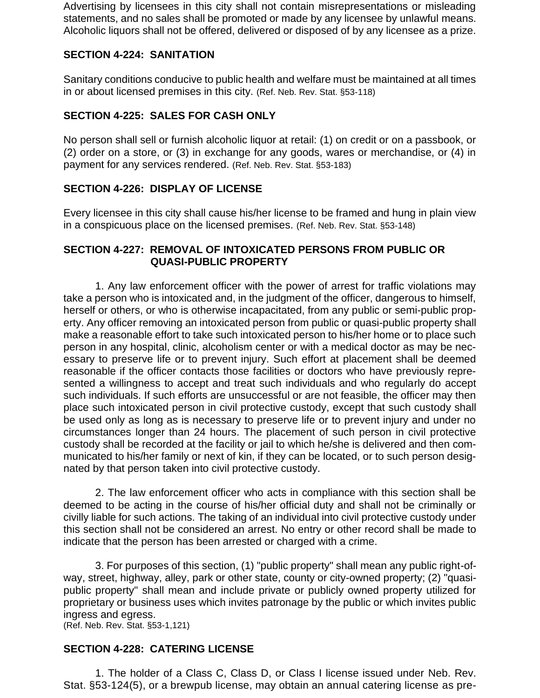Advertising by licensees in this city shall not contain misrepresentations or misleading statements, and no sales shall be promoted or made by any licensee by unlawful means. Alcoholic liquors shall not be offered, delivered or disposed of by any licensee as a prize.

### **SECTION 4-224: SANITATION**

Sanitary conditions conducive to public health and welfare must be maintained at all times in or about licensed premises in this city. (Ref. Neb. Rev. Stat. §53-118)

### **SECTION 4-225: SALES FOR CASH ONLY**

No person shall sell or furnish alcoholic liquor at retail: (1) on credit or on a passbook, or (2) order on a store, or (3) in exchange for any goods, wares or merchandise, or (4) in payment for any services rendered. (Ref. Neb. Rev. Stat. §53-183)

### **SECTION 4-226: DISPLAY OF LICENSE**

Every licensee in this city shall cause his/her license to be framed and hung in plain view in a conspicuous place on the licensed premises. (Ref. Neb. Rev. Stat. §53-148)

### **SECTION 4-227: REMOVAL OF INTOXICATED PERSONS FROM PUBLIC OR QUASI-PUBLIC PROPERTY**

1. Any law enforcement officer with the power of arrest for traffic violations may take a person who is intoxicated and, in the judgment of the officer, dangerous to himself, herself or others, or who is otherwise incapacitated, from any public or semi-public property. Any officer removing an intoxicated person from public or quasi-public property shall make a reasonable effort to take such intoxicated person to his/her home or to place such person in any hospital, clinic, alcoholism center or with a medical doctor as may be necessary to preserve life or to prevent injury. Such effort at placement shall be deemed reasonable if the officer contacts those facilities or doctors who have previously represented a willingness to accept and treat such individuals and who regularly do accept such individuals. If such efforts are unsuccessful or are not feasible, the officer may then place such intoxicated person in civil protective custody, except that such custody shall be used only as long as is necessary to preserve life or to prevent injury and under no circumstances longer than 24 hours. The placement of such person in civil protective custody shall be recorded at the facility or jail to which he/she is delivered and then communicated to his/her family or next of kin, if they can be located, or to such person designated by that person taken into civil protective custody.

2. The law enforcement officer who acts in compliance with this section shall be deemed to be acting in the course of his/her official duty and shall not be criminally or civilly liable for such actions. The taking of an individual into civil protective custody under this section shall not be considered an arrest. No entry or other record shall be made to indicate that the person has been arrested or charged with a crime.

3. For purposes of this section, (1) "public property" shall mean any public right-ofway, street, highway, alley, park or other state, county or city-owned property; (2) "quasipublic property" shall mean and include private or publicly owned property utilized for proprietary or business uses which invites patronage by the public or which invites public ingress and egress.

(Ref. Neb. Rev. Stat. §53-1,121)

### **SECTION 4-228: CATERING LICENSE**

1. The holder of a Class C, Class D, or Class I license issued under Neb. Rev. Stat. §53-124(5), or a brewpub license, may obtain an annual catering license as pre-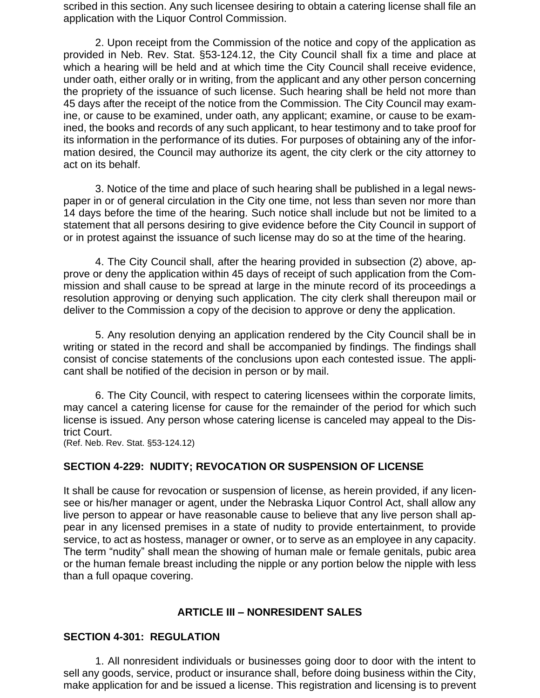scribed in this section. Any such licensee desiring to obtain a catering license shall file an application with the Liquor Control Commission.

2. Upon receipt from the Commission of the notice and copy of the application as provided in Neb. Rev. Stat. §53-124.12, the City Council shall fix a time and place at which a hearing will be held and at which time the City Council shall receive evidence, under oath, either orally or in writing, from the applicant and any other person concerning the propriety of the issuance of such license. Such hearing shall be held not more than 45 days after the receipt of the notice from the Commission. The City Council may examine, or cause to be examined, under oath, any applicant; examine, or cause to be examined, the books and records of any such applicant, to hear testimony and to take proof for its information in the performance of its duties. For purposes of obtaining any of the information desired, the Council may authorize its agent, the city clerk or the city attorney to act on its behalf.

3. Notice of the time and place of such hearing shall be published in a legal newspaper in or of general circulation in the City one time, not less than seven nor more than 14 days before the time of the hearing. Such notice shall include but not be limited to a statement that all persons desiring to give evidence before the City Council in support of or in protest against the issuance of such license may do so at the time of the hearing.

4. The City Council shall, after the hearing provided in subsection (2) above, approve or deny the application within 45 days of receipt of such application from the Commission and shall cause to be spread at large in the minute record of its proceedings a resolution approving or denying such application. The city clerk shall thereupon mail or deliver to the Commission a copy of the decision to approve or deny the application.

5. Any resolution denying an application rendered by the City Council shall be in writing or stated in the record and shall be accompanied by findings. The findings shall consist of concise statements of the conclusions upon each contested issue. The applicant shall be notified of the decision in person or by mail.

6. The City Council, with respect to catering licensees within the corporate limits, may cancel a catering license for cause for the remainder of the period for which such license is issued. Any person whose catering license is canceled may appeal to the District Court.

(Ref. Neb. Rev. Stat. §53-124.12)

### **SECTION 4-229: NUDITY; REVOCATION OR SUSPENSION OF LICENSE**

It shall be cause for revocation or suspension of license, as herein provided, if any licensee or his/her manager or agent, under the Nebraska Liquor Control Act, shall allow any live person to appear or have reasonable cause to believe that any live person shall appear in any licensed premises in a state of nudity to provide entertainment, to provide service, to act as hostess, manager or owner, or to serve as an employee in any capacity. The term "nudity" shall mean the showing of human male or female genitals, pubic area or the human female breast including the nipple or any portion below the nipple with less than a full opaque covering.

### **ARTICLE III – NONRESIDENT SALES**

### **SECTION 4-301: REGULATION**

1. All nonresident individuals or businesses going door to door with the intent to sell any goods, service, product or insurance shall, before doing business within the City, make application for and be issued a license. This registration and licensing is to prevent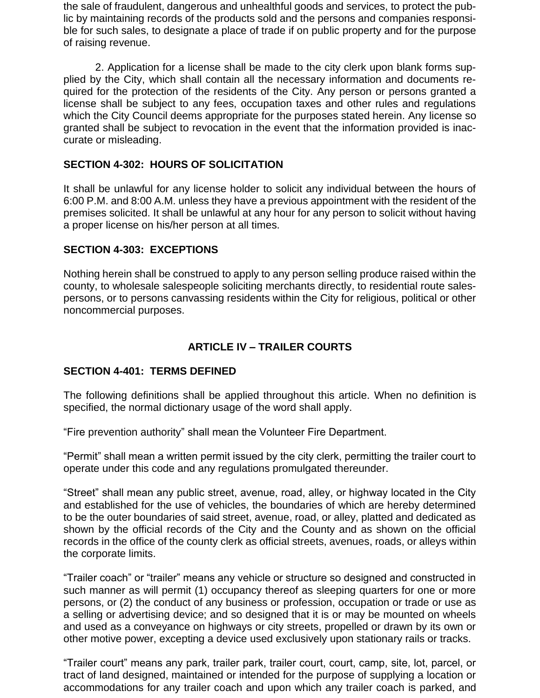the sale of fraudulent, dangerous and unhealthful goods and services, to protect the public by maintaining records of the products sold and the persons and companies responsible for such sales, to designate a place of trade if on public property and for the purpose of raising revenue.

2. Application for a license shall be made to the city clerk upon blank forms supplied by the City, which shall contain all the necessary information and documents required for the protection of the residents of the City. Any person or persons granted a license shall be subject to any fees, occupation taxes and other rules and regulations which the City Council deems appropriate for the purposes stated herein. Any license so granted shall be subject to revocation in the event that the information provided is inaccurate or misleading.

### **SECTION 4-302: HOURS OF SOLICITATION**

It shall be unlawful for any license holder to solicit any individual between the hours of 6:00 P.M. and 8:00 A.M. unless they have a previous appointment with the resident of the premises solicited. It shall be unlawful at any hour for any person to solicit without having a proper license on his/her person at all times.

### **SECTION 4-303: EXCEPTIONS**

Nothing herein shall be construed to apply to any person selling produce raised within the county, to wholesale salespeople soliciting merchants directly, to residential route salespersons, or to persons canvassing residents within the City for religious, political or other noncommercial purposes.

# **ARTICLE IV – TRAILER COURTS**

### **SECTION 4-401: TERMS DEFINED**

The following definitions shall be applied throughout this article. When no definition is specified, the normal dictionary usage of the word shall apply.

"Fire prevention authority" shall mean the Volunteer Fire Department.

"Permit" shall mean a written permit issued by the city clerk, permitting the trailer court to operate under this code and any regulations promulgated thereunder.

"Street" shall mean any public street, avenue, road, alley, or highway located in the City and established for the use of vehicles, the boundaries of which are hereby determined to be the outer boundaries of said street, avenue, road, or alley, platted and dedicated as shown by the official records of the City and the County and as shown on the official records in the office of the county clerk as official streets, avenues, roads, or alleys within the corporate limits.

"Trailer coach" or "trailer" means any vehicle or structure so designed and constructed in such manner as will permit (1) occupancy thereof as sleeping quarters for one or more persons, or (2) the conduct of any business or profession, occupation or trade or use as a selling or advertising device; and so designed that it is or may be mounted on wheels and used as a conveyance on highways or city streets, propelled or drawn by its own or other motive power, excepting a device used exclusively upon stationary rails or tracks.

"Trailer court" means any park, trailer park, trailer court, court, camp, site, lot, parcel, or tract of land designed, maintained or intended for the purpose of supplying a location or accommodations for any trailer coach and upon which any trailer coach is parked, and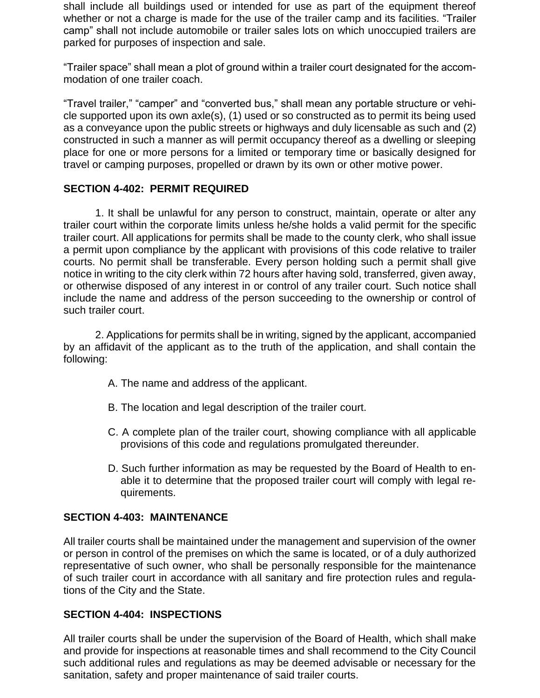shall include all buildings used or intended for use as part of the equipment thereof whether or not a charge is made for the use of the trailer camp and its facilities. "Trailer camp" shall not include automobile or trailer sales lots on which unoccupied trailers are parked for purposes of inspection and sale.

"Trailer space" shall mean a plot of ground within a trailer court designated for the accommodation of one trailer coach.

"Travel trailer," "camper" and "converted bus," shall mean any portable structure or vehicle supported upon its own axle(s), (1) used or so constructed as to permit its being used as a conveyance upon the public streets or highways and duly licensable as such and (2) constructed in such a manner as will permit occupancy thereof as a dwelling or sleeping place for one or more persons for a limited or temporary time or basically designed for travel or camping purposes, propelled or drawn by its own or other motive power.

### **SECTION 4-402: PERMIT REQUIRED**

1. It shall be unlawful for any person to construct, maintain, operate or alter any trailer court within the corporate limits unless he/she holds a valid permit for the specific trailer court. All applications for permits shall be made to the county clerk, who shall issue a permit upon compliance by the applicant with provisions of this code relative to trailer courts. No permit shall be transferable. Every person holding such a permit shall give notice in writing to the city clerk within 72 hours after having sold, transferred, given away, or otherwise disposed of any interest in or control of any trailer court. Such notice shall include the name and address of the person succeeding to the ownership or control of such trailer court.

2. Applications for permits shall be in writing, signed by the applicant, accompanied by an affidavit of the applicant as to the truth of the application, and shall contain the following:

- A. The name and address of the applicant.
- B. The location and legal description of the trailer court.
- C. A complete plan of the trailer court, showing compliance with all applicable provisions of this code and regulations promulgated thereunder.
- D. Such further information as may be requested by the Board of Health to enable it to determine that the proposed trailer court will comply with legal requirements.

### **SECTION 4-403: MAINTENANCE**

All trailer courts shall be maintained under the management and supervision of the owner or person in control of the premises on which the same is located, or of a duly authorized representative of such owner, who shall be personally responsible for the maintenance of such trailer court in accordance with all sanitary and fire protection rules and regulations of the City and the State.

### **SECTION 4-404: INSPECTIONS**

All trailer courts shall be under the supervision of the Board of Health, which shall make and provide for inspections at reasonable times and shall recommend to the City Council such additional rules and regulations as may be deemed advisable or necessary for the sanitation, safety and proper maintenance of said trailer courts.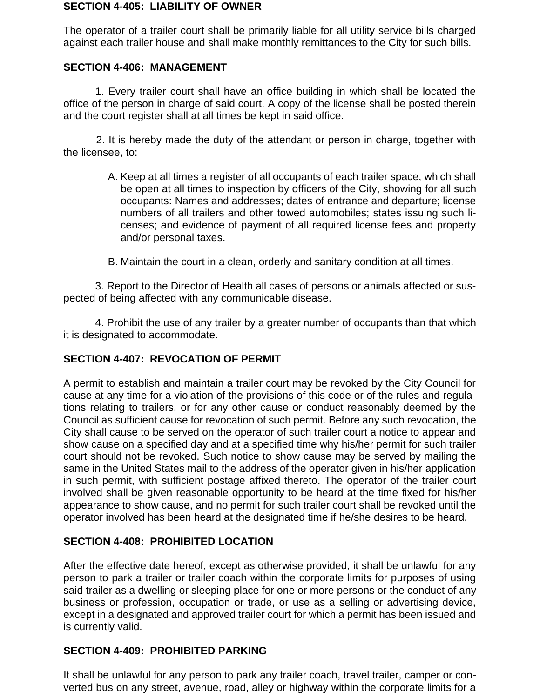#### **SECTION 4-405: LIABILITY OF OWNER**

The operator of a trailer court shall be primarily liable for all utility service bills charged against each trailer house and shall make monthly remittances to the City for such bills.

### **SECTION 4-406: MANAGEMENT**

1. Every trailer court shall have an office building in which shall be located the office of the person in charge of said court. A copy of the license shall be posted therein and the court register shall at all times be kept in said office.

2. It is hereby made the duty of the attendant or person in charge, together with the licensee, to:

- A. Keep at all times a register of all occupants of each trailer space, which shall be open at all times to inspection by officers of the City, showing for all such occupants: Names and addresses; dates of entrance and departure; license numbers of all trailers and other towed automobiles; states issuing such licenses; and evidence of payment of all required license fees and property and/or personal taxes.
- B. Maintain the court in a clean, orderly and sanitary condition at all times.

3. Report to the Director of Health all cases of persons or animals affected or suspected of being affected with any communicable disease.

4. Prohibit the use of any trailer by a greater number of occupants than that which it is designated to accommodate.

# **SECTION 4-407: REVOCATION OF PERMIT**

A permit to establish and maintain a trailer court may be revoked by the City Council for cause at any time for a violation of the provisions of this code or of the rules and regulations relating to trailers, or for any other cause or conduct reasonably deemed by the Council as sufficient cause for revocation of such permit. Before any such revocation, the City shall cause to be served on the operator of such trailer court a notice to appear and show cause on a specified day and at a specified time why his/her permit for such trailer court should not be revoked. Such notice to show cause may be served by mailing the same in the United States mail to the address of the operator given in his/her application in such permit, with sufficient postage affixed thereto. The operator of the trailer court involved shall be given reasonable opportunity to be heard at the time fixed for his/her appearance to show cause, and no permit for such trailer court shall be revoked until the operator involved has been heard at the designated time if he/she desires to be heard.

# **SECTION 4-408: PROHIBITED LOCATION**

After the effective date hereof, except as otherwise provided, it shall be unlawful for any person to park a trailer or trailer coach within the corporate limits for purposes of using said trailer as a dwelling or sleeping place for one or more persons or the conduct of any business or profession, occupation or trade, or use as a selling or advertising device, except in a designated and approved trailer court for which a permit has been issued and is currently valid.

### **SECTION 4-409: PROHIBITED PARKING**

It shall be unlawful for any person to park any trailer coach, travel trailer, camper or converted bus on any street, avenue, road, alley or highway within the corporate limits for a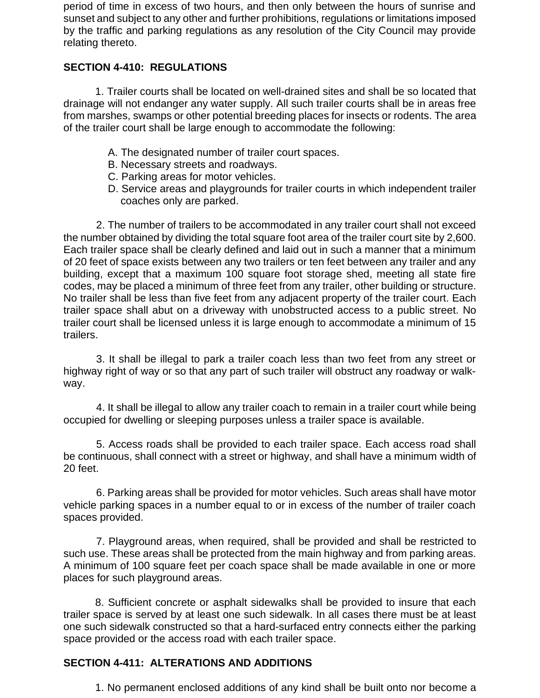period of time in excess of two hours, and then only between the hours of sunrise and sunset and subject to any other and further prohibitions, regulations or limitations imposed by the traffic and parking regulations as any resolution of the City Council may provide relating thereto.

# **SECTION 4-410: REGULATIONS**

1. Trailer courts shall be located on well-drained sites and shall be so located that drainage will not endanger any water supply. All such trailer courts shall be in areas free from marshes, swamps or other potential breeding places for insects or rodents. The area of the trailer court shall be large enough to accommodate the following:

- A. The designated number of trailer court spaces.
- B. Necessary streets and roadways.
- C. Parking areas for motor vehicles.
- D. Service areas and playgrounds for trailer courts in which independent trailer coaches only are parked.

2. The number of trailers to be accommodated in any trailer court shall not exceed the number obtained by dividing the total square foot area of the trailer court site by 2,600. Each trailer space shall be clearly defined and laid out in such a manner that a minimum of 20 feet of space exists between any two trailers or ten feet between any trailer and any building, except that a maximum 100 square foot storage shed, meeting all state fire codes, may be placed a minimum of three feet from any trailer, other building or structure. No trailer shall be less than five feet from any adjacent property of the trailer court. Each trailer space shall abut on a driveway with unobstructed access to a public street. No trailer court shall be licensed unless it is large enough to accommodate a minimum of 15 trailers.

3. It shall be illegal to park a trailer coach less than two feet from any street or highway right of way or so that any part of such trailer will obstruct any roadway or walkway.

4. It shall be illegal to allow any trailer coach to remain in a trailer court while being occupied for dwelling or sleeping purposes unless a trailer space is available.

5. Access roads shall be provided to each trailer space. Each access road shall be continuous, shall connect with a street or highway, and shall have a minimum width of 20 feet.

6. Parking areas shall be provided for motor vehicles. Such areas shall have motor vehicle parking spaces in a number equal to or in excess of the number of trailer coach spaces provided.

7. Playground areas, when required, shall be provided and shall be restricted to such use. These areas shall be protected from the main highway and from parking areas. A minimum of 100 square feet per coach space shall be made available in one or more places for such playground areas.

8. Sufficient concrete or asphalt sidewalks shall be provided to insure that each trailer space is served by at least one such sidewalk. In all cases there must be at least one such sidewalk constructed so that a hard-surfaced entry connects either the parking space provided or the access road with each trailer space.

# **SECTION 4-411: ALTERATIONS AND ADDITIONS**

1. No permanent enclosed additions of any kind shall be built onto nor become a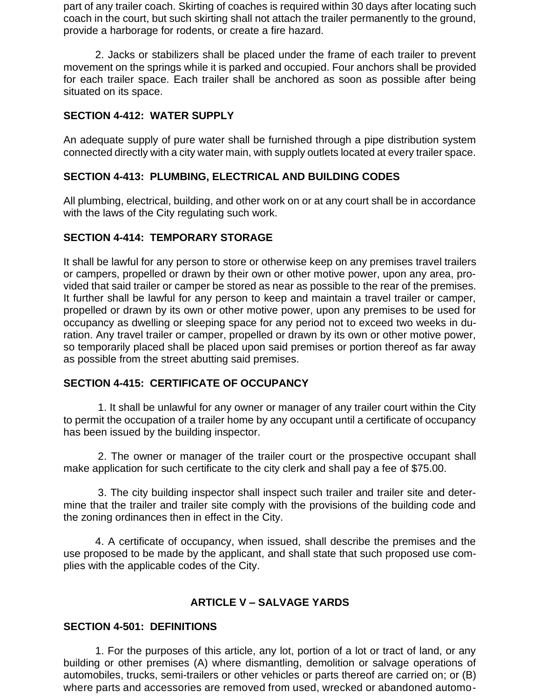part of any trailer coach. Skirting of coaches is required within 30 days after locating such coach in the court, but such skirting shall not attach the trailer permanently to the ground, provide a harborage for rodents, or create a fire hazard.

2. Jacks or stabilizers shall be placed under the frame of each trailer to prevent movement on the springs while it is parked and occupied. Four anchors shall be provided for each trailer space. Each trailer shall be anchored as soon as possible after being situated on its space.

### **SECTION 4-412: WATER SUPPLY**

An adequate supply of pure water shall be furnished through a pipe distribution system connected directly with a city water main, with supply outlets located at every trailer space.

# **SECTION 4-413: PLUMBING, ELECTRICAL AND BUILDING CODES**

All plumbing, electrical, building, and other work on or at any court shall be in accordance with the laws of the City regulating such work.

### **SECTION 4-414: TEMPORARY STORAGE**

It shall be lawful for any person to store or otherwise keep on any premises travel trailers or campers, propelled or drawn by their own or other motive power, upon any area, provided that said trailer or camper be stored as near as possible to the rear of the premises. It further shall be lawful for any person to keep and maintain a travel trailer or camper, propelled or drawn by its own or other motive power, upon any premises to be used for occupancy as dwelling or sleeping space for any period not to exceed two weeks in duration. Any travel trailer or camper, propelled or drawn by its own or other motive power, so temporarily placed shall be placed upon said premises or portion thereof as far away as possible from the street abutting said premises.

### **SECTION 4-415: CERTIFICATE OF OCCUPANCY**

1. It shall be unlawful for any owner or manager of any trailer court within the City to permit the occupation of a trailer home by any occupant until a certificate of occupancy has been issued by the building inspector.

2. The owner or manager of the trailer court or the prospective occupant shall make application for such certificate to the city clerk and shall pay a fee of \$75.00.

3. The city building inspector shall inspect such trailer and trailer site and determine that the trailer and trailer site comply with the provisions of the building code and the zoning ordinances then in effect in the City.

4. A certificate of occupancy, when issued, shall describe the premises and the use proposed to be made by the applicant, and shall state that such proposed use complies with the applicable codes of the City.

# **ARTICLE V – SALVAGE YARDS**

### **SECTION 4-501: DEFINITIONS**

1. For the purposes of this article, any lot, portion of a lot or tract of land, or any building or other premises (A) where dismantling, demolition or salvage operations of automobiles, trucks, semi-trailers or other vehicles or parts thereof are carried on; or (B) where parts and accessories are removed from used, wrecked or abandoned automo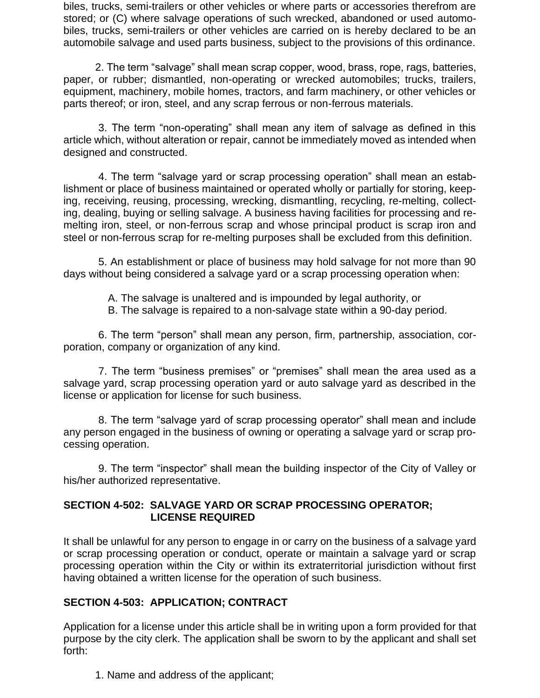biles, trucks, semi-trailers or other vehicles or where parts or accessories therefrom are stored; or (C) where salvage operations of such wrecked, abandoned or used automobiles, trucks, semi-trailers or other vehicles are carried on is hereby declared to be an automobile salvage and used parts business, subject to the provisions of this ordinance.

2. The term "salvage" shall mean scrap copper, wood, brass, rope, rags, batteries, paper, or rubber; dismantled, non-operating or wrecked automobiles; trucks, trailers, equipment, machinery, mobile homes, tractors, and farm machinery, or other vehicles or parts thereof; or iron, steel, and any scrap ferrous or non-ferrous materials.

3. The term "non-operating" shall mean any item of salvage as defined in this article which, without alteration or repair, cannot be immediately moved as intended when designed and constructed.

4. The term "salvage yard or scrap processing operation" shall mean an establishment or place of business maintained or operated wholly or partially for storing, keeping, receiving, reusing, processing, wrecking, dismantling, recycling, re-melting, collecting, dealing, buying or selling salvage. A business having facilities for processing and remelting iron, steel, or non-ferrous scrap and whose principal product is scrap iron and steel or non-ferrous scrap for re-melting purposes shall be excluded from this definition.

5. An establishment or place of business may hold salvage for not more than 90 days without being considered a salvage yard or a scrap processing operation when:

A. The salvage is unaltered and is impounded by legal authority, or

B. The salvage is repaired to a non-salvage state within a 90-day period.

6. The term "person" shall mean any person, firm, partnership, association, corporation, company or organization of any kind.

7. The term "business premises" or "premises" shall mean the area used as a salvage yard, scrap processing operation yard or auto salvage yard as described in the license or application for license for such business.

8. The term "salvage yard of scrap processing operator" shall mean and include any person engaged in the business of owning or operating a salvage yard or scrap processing operation.

9. The term "inspector" shall mean the building inspector of the City of Valley or his/her authorized representative.

### **SECTION 4-502: SALVAGE YARD OR SCRAP PROCESSING OPERATOR; LICENSE REQUIRED**

It shall be unlawful for any person to engage in or carry on the business of a salvage yard or scrap processing operation or conduct, operate or maintain a salvage yard or scrap processing operation within the City or within its extraterritorial jurisdiction without first having obtained a written license for the operation of such business.

# **SECTION 4-503: APPLICATION; CONTRACT**

Application for a license under this article shall be in writing upon a form provided for that purpose by the city clerk. The application shall be sworn to by the applicant and shall set forth:

1. Name and address of the applicant;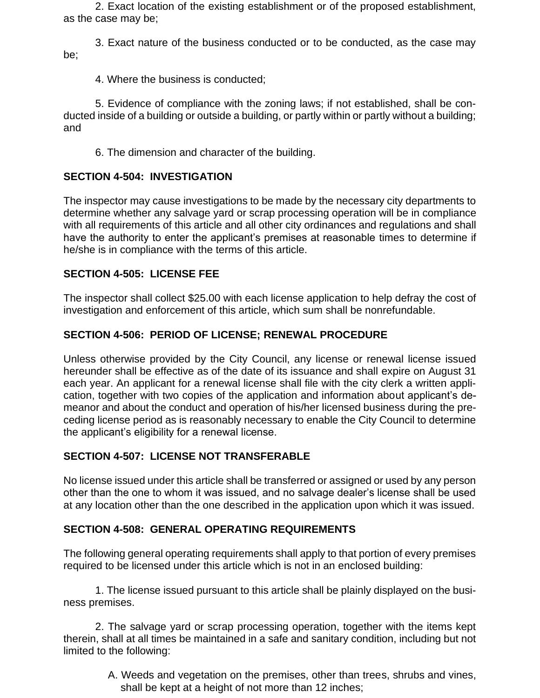2. Exact location of the existing establishment or of the proposed establishment, as the case may be;

3. Exact nature of the business conducted or to be conducted, as the case may be;

4. Where the business is conducted;

5. Evidence of compliance with the zoning laws; if not established, shall be conducted inside of a building or outside a building, or partly within or partly without a building; and

6. The dimension and character of the building.

# **SECTION 4-504: INVESTIGATION**

The inspector may cause investigations to be made by the necessary city departments to determine whether any salvage yard or scrap processing operation will be in compliance with all requirements of this article and all other city ordinances and regulations and shall have the authority to enter the applicant's premises at reasonable times to determine if he/she is in compliance with the terms of this article.

# **SECTION 4-505: LICENSE FEE**

The inspector shall collect \$25.00 with each license application to help defray the cost of investigation and enforcement of this article, which sum shall be nonrefundable.

### **SECTION 4-506: PERIOD OF LICENSE; RENEWAL PROCEDURE**

Unless otherwise provided by the City Council, any license or renewal license issued hereunder shall be effective as of the date of its issuance and shall expire on August 31 each year. An applicant for a renewal license shall file with the city clerk a written application, together with two copies of the application and information about applicant's demeanor and about the conduct and operation of his/her licensed business during the preceding license period as is reasonably necessary to enable the City Council to determine the applicant's eligibility for a renewal license.

# **SECTION 4-507: LICENSE NOT TRANSFERABLE**

No license issued under this article shall be transferred or assigned or used by any person other than the one to whom it was issued, and no salvage dealer's license shall be used at any location other than the one described in the application upon which it was issued.

### **SECTION 4-508: GENERAL OPERATING REQUIREMENTS**

The following general operating requirements shall apply to that portion of every premises required to be licensed under this article which is not in an enclosed building:

1. The license issued pursuant to this article shall be plainly displayed on the business premises.

2. The salvage yard or scrap processing operation, together with the items kept therein, shall at all times be maintained in a safe and sanitary condition, including but not limited to the following:

> A. Weeds and vegetation on the premises, other than trees, shrubs and vines, shall be kept at a height of not more than 12 inches;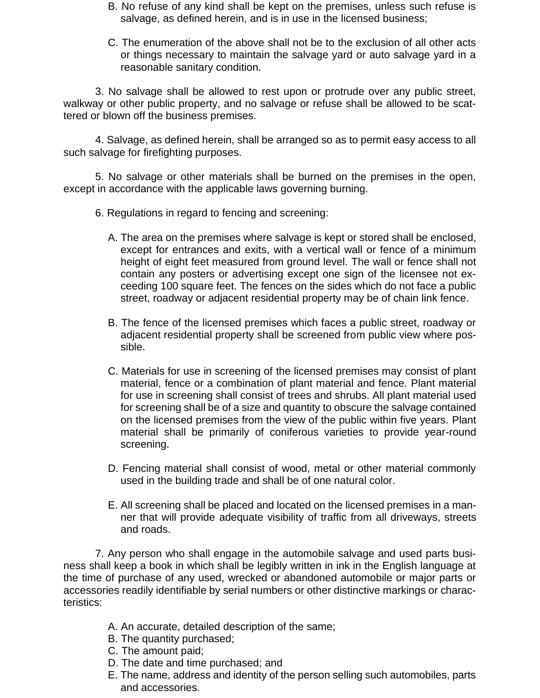- B. No refuse of any kind shall be kept on the premises, unless such refuse is salvage, as defined herein, and is in use in the licensed business;
- C. The enumeration of the above shall not be to the exclusion of all other acts or things necessary to maintain the salvage yard or auto salvage yard in a reasonable sanitary condition.

3. No salvage shall be allowed to rest upon or protrude over any public street, walkway or other public property, and no salvage or refuse shall be allowed to be scattered or blown off the business premises.

4. Salvage, as defined herein, shall be arranged so as to permit easy access to all such salvage for firefighting purposes.

5. No salvage or other materials shall be burned on the premises in the open, except in accordance with the applicable laws governing burning.

- 6. Regulations in regard to fencing and screening:
	- A. The area on the premises where salvage is kept or stored shall be enclosed, except for entrances and exits, with a vertical wall or fence of a minimum height of eight feet measured from ground level. The wall or fence shall not contain any posters or advertising except one sign of the licensee not exceeding 100 square feet. The fences on the sides which do not face a public street, roadway or adjacent residential property may be of chain link fence.
	- B. The fence of the licensed premises which faces a public street, roadway or adjacent residential property shall be screened from public view where possible.
	- C. Materials for use in screening of the licensed premises may consist of plant material, fence or a combination of plant material and fence. Plant material for use in screening shall consist of trees and shrubs. All plant material used for screening shall be of a size and quantity to obscure the salvage contained on the licensed premises from the view of the public within five years. Plant material shall be primarily of coniferous varieties to provide year-round screening.
	- D. Fencing material shall consist of wood, metal or other material commonly used in the building trade and shall be of one natural color.
	- E. All screening shall be placed and located on the licensed premises in a manner that will provide adequate visibility of traffic from all driveways, streets and roads.

7. Any person who shall engage in the automobile salvage and used parts business shall keep a book in which shall be legibly written in ink in the English language at the time of purchase of any used, wrecked or abandoned automobile or major parts or accessories readily identifiable by serial numbers or other distinctive markings or characteristics:

- A. An accurate, detailed description of the same;
- B. The quantity purchased;
- C. The amount paid;
- D. The date and time purchased; and
- E. The name, address and identity of the person selling such automobiles, parts and accessories.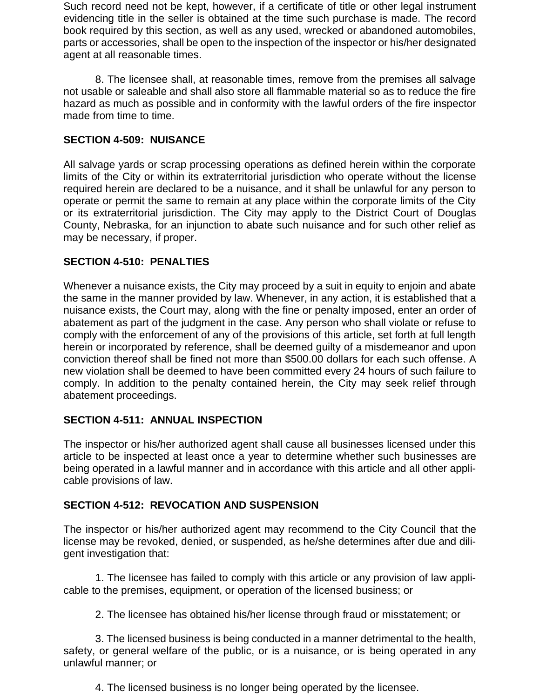Such record need not be kept, however, if a certificate of title or other legal instrument evidencing title in the seller is obtained at the time such purchase is made. The record book required by this section, as well as any used, wrecked or abandoned automobiles, parts or accessories, shall be open to the inspection of the inspector or his/her designated agent at all reasonable times.

8. The licensee shall, at reasonable times, remove from the premises all salvage not usable or saleable and shall also store all flammable material so as to reduce the fire hazard as much as possible and in conformity with the lawful orders of the fire inspector made from time to time.

### **SECTION 4-509: NUISANCE**

All salvage yards or scrap processing operations as defined herein within the corporate limits of the City or within its extraterritorial jurisdiction who operate without the license required herein are declared to be a nuisance, and it shall be unlawful for any person to operate or permit the same to remain at any place within the corporate limits of the City or its extraterritorial jurisdiction. The City may apply to the District Court of Douglas County, Nebraska, for an injunction to abate such nuisance and for such other relief as may be necessary, if proper.

### **SECTION 4-510: PENALTIES**

Whenever a nuisance exists, the City may proceed by a suit in equity to enjoin and abate the same in the manner provided by law. Whenever, in any action, it is established that a nuisance exists, the Court may, along with the fine or penalty imposed, enter an order of abatement as part of the judgment in the case. Any person who shall violate or refuse to comply with the enforcement of any of the provisions of this article, set forth at full length herein or incorporated by reference, shall be deemed guilty of a misdemeanor and upon conviction thereof shall be fined not more than \$500.00 dollars for each such offense. A new violation shall be deemed to have been committed every 24 hours of such failure to comply. In addition to the penalty contained herein, the City may seek relief through abatement proceedings.

### **SECTION 4-511: ANNUAL INSPECTION**

The inspector or his/her authorized agent shall cause all businesses licensed under this article to be inspected at least once a year to determine whether such businesses are being operated in a lawful manner and in accordance with this article and all other applicable provisions of law.

### **SECTION 4-512: REVOCATION AND SUSPENSION**

The inspector or his/her authorized agent may recommend to the City Council that the license may be revoked, denied, or suspended, as he/she determines after due and diligent investigation that:

1. The licensee has failed to comply with this article or any provision of law applicable to the premises, equipment, or operation of the licensed business; or

2. The licensee has obtained his/her license through fraud or misstatement; or

3. The licensed business is being conducted in a manner detrimental to the health, safety, or general welfare of the public, or is a nuisance, or is being operated in any unlawful manner; or

4. The licensed business is no longer being operated by the licensee.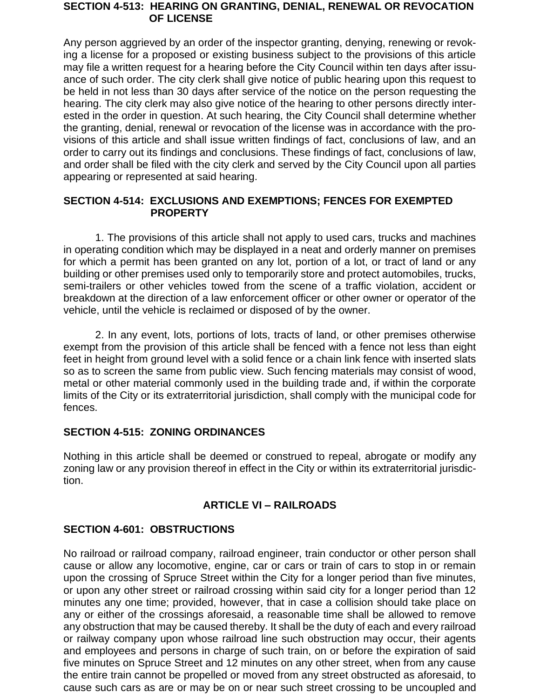#### **SECTION 4-513: HEARING ON GRANTING, DENIAL, RENEWAL OR REVOCATION OF LICENSE**

Any person aggrieved by an order of the inspector granting, denying, renewing or revoking a license for a proposed or existing business subject to the provisions of this article may file a written request for a hearing before the City Council within ten days after issuance of such order. The city clerk shall give notice of public hearing upon this request to be held in not less than 30 days after service of the notice on the person requesting the hearing. The city clerk may also give notice of the hearing to other persons directly interested in the order in question. At such hearing, the City Council shall determine whether the granting, denial, renewal or revocation of the license was in accordance with the provisions of this article and shall issue written findings of fact, conclusions of law, and an order to carry out its findings and conclusions. These findings of fact, conclusions of law, and order shall be filed with the city clerk and served by the City Council upon all parties appearing or represented at said hearing.

### **SECTION 4-514: EXCLUSIONS AND EXEMPTIONS; FENCES FOR EXEMPTED** **PROPERTY**

1. The provisions of this article shall not apply to used cars, trucks and machines in operating condition which may be displayed in a neat and orderly manner on premises for which a permit has been granted on any lot, portion of a lot, or tract of land or any building or other premises used only to temporarily store and protect automobiles, trucks, semi-trailers or other vehicles towed from the scene of a traffic violation, accident or breakdown at the direction of a law enforcement officer or other owner or operator of the vehicle, until the vehicle is reclaimed or disposed of by the owner.

2. In any event, lots, portions of lots, tracts of land, or other premises otherwise exempt from the provision of this article shall be fenced with a fence not less than eight feet in height from ground level with a solid fence or a chain link fence with inserted slats so as to screen the same from public view. Such fencing materials may consist of wood, metal or other material commonly used in the building trade and, if within the corporate limits of the City or its extraterritorial jurisdiction, shall comply with the municipal code for fences.

### **SECTION 4-515: ZONING ORDINANCES**

Nothing in this article shall be deemed or construed to repeal, abrogate or modify any zoning law or any provision thereof in effect in the City or within its extraterritorial jurisdiction.

### **ARTICLE VI – RAILROADS**

# **SECTION 4-601: OBSTRUCTIONS**

No railroad or railroad company, railroad engineer, train conductor or other person shall cause or allow any locomotive, engine, car or cars or train of cars to stop in or remain upon the crossing of Spruce Street within the City for a longer period than five minutes, or upon any other street or railroad crossing within said city for a longer period than 12 minutes any one time; provided, however, that in case a collision should take place on any or either of the crossings aforesaid, a reasonable time shall be allowed to remove any obstruction that may be caused thereby. It shall be the duty of each and every railroad or railway company upon whose railroad line such obstruction may occur, their agents and employees and persons in charge of such train, on or before the expiration of said five minutes on Spruce Street and 12 minutes on any other street, when from any cause the entire train cannot be propelled or moved from any street obstructed as aforesaid, to cause such cars as are or may be on or near such street crossing to be uncoupled and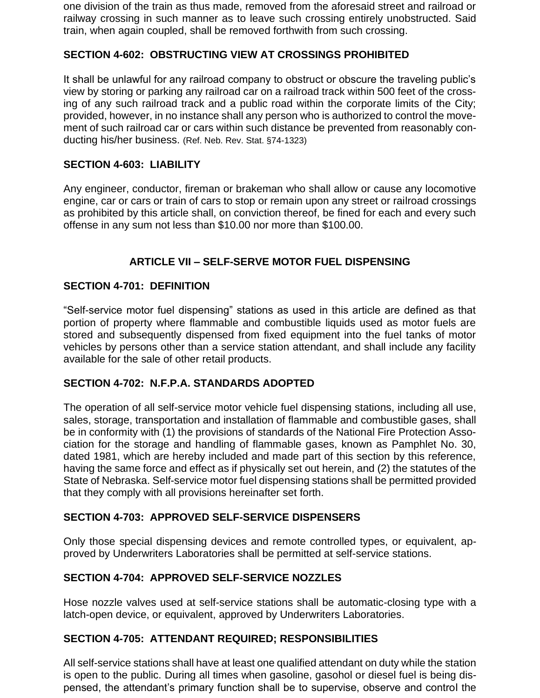one division of the train as thus made, removed from the aforesaid street and railroad or railway crossing in such manner as to leave such crossing entirely unobstructed. Said train, when again coupled, shall be removed forthwith from such crossing.

### **SECTION 4-602: OBSTRUCTING VIEW AT CROSSINGS PROHIBITED**

It shall be unlawful for any railroad company to obstruct or obscure the traveling public's view by storing or parking any railroad car on a railroad track within 500 feet of the crossing of any such railroad track and a public road within the corporate limits of the City; provided, however, in no instance shall any person who is authorized to control the movement of such railroad car or cars within such distance be prevented from reasonably conducting his/her business. (Ref. Neb. Rev. Stat. §74-1323)

### **SECTION 4-603: LIABILITY**

Any engineer, conductor, fireman or brakeman who shall allow or cause any locomotive engine, car or cars or train of cars to stop or remain upon any street or railroad crossings as prohibited by this article shall, on conviction thereof, be fined for each and every such offense in any sum not less than \$10.00 nor more than \$100.00.

# **ARTICLE VII – SELF-SERVE MOTOR FUEL DISPENSING**

### **SECTION 4-701: DEFINITION**

"Self-service motor fuel dispensing" stations as used in this article are defined as that portion of property where flammable and combustible liquids used as motor fuels are stored and subsequently dispensed from fixed equipment into the fuel tanks of motor vehicles by persons other than a service station attendant, and shall include any facility available for the sale of other retail products.

### **SECTION 4-702: N.F.P.A. STANDARDS ADOPTED**

The operation of all self-service motor vehicle fuel dispensing stations, including all use, sales, storage, transportation and installation of flammable and combustible gases, shall be in conformity with (1) the provisions of standards of the National Fire Protection Association for the storage and handling of flammable gases, known as Pamphlet No. 30, dated 1981, which are hereby included and made part of this section by this reference, having the same force and effect as if physically set out herein, and (2) the statutes of the State of Nebraska. Self-service motor fuel dispensing stations shall be permitted provided that they comply with all provisions hereinafter set forth.

### **SECTION 4-703: APPROVED SELF-SERVICE DISPENSERS**

Only those special dispensing devices and remote controlled types, or equivalent, approved by Underwriters Laboratories shall be permitted at self-service stations.

### **SECTION 4-704: APPROVED SELF-SERVICE NOZZLES**

Hose nozzle valves used at self-service stations shall be automatic-closing type with a latch-open device, or equivalent, approved by Underwriters Laboratories.

### **SECTION 4-705: ATTENDANT REQUIRED; RESPONSIBILITIES**

All self-service stations shall have at least one qualified attendant on duty while the station is open to the public. During all times when gasoline, gasohol or diesel fuel is being dispensed, the attendant's primary function shall be to supervise, observe and control the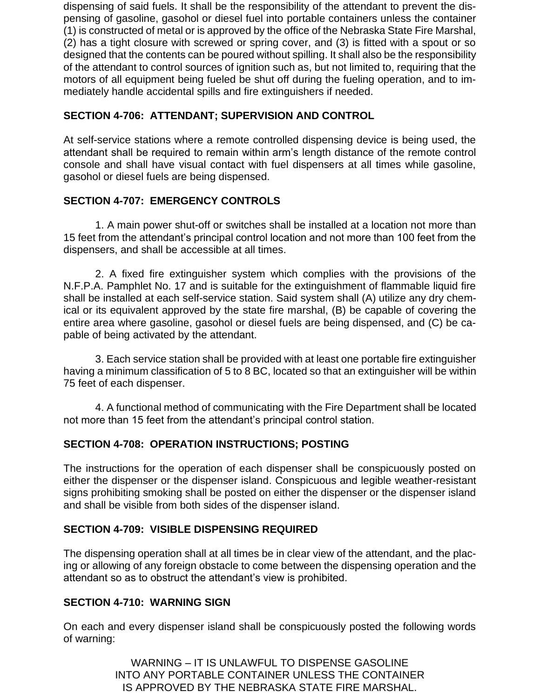dispensing of said fuels. It shall be the responsibility of the attendant to prevent the dispensing of gasoline, gasohol or diesel fuel into portable containers unless the container (1) is constructed of metal or is approved by the office of the Nebraska State Fire Marshal, (2) has a tight closure with screwed or spring cover, and (3) is fitted with a spout or so designed that the contents can be poured without spilling. It shall also be the responsibility of the attendant to control sources of ignition such as, but not limited to, requiring that the motors of all equipment being fueled be shut off during the fueling operation, and to immediately handle accidental spills and fire extinguishers if needed.

# **SECTION 4-706: ATTENDANT; SUPERVISION AND CONTROL**

At self-service stations where a remote controlled dispensing device is being used, the attendant shall be required to remain within arm's length distance of the remote control console and shall have visual contact with fuel dispensers at all times while gasoline, gasohol or diesel fuels are being dispensed.

# **SECTION 4-707: EMERGENCY CONTROLS**

1. A main power shut-off or switches shall be installed at a location not more than 15 feet from the attendant's principal control location and not more than 100 feet from the dispensers, and shall be accessible at all times.

2. A fixed fire extinguisher system which complies with the provisions of the N.F.P.A. Pamphlet No. 17 and is suitable for the extinguishment of flammable liquid fire shall be installed at each self-service station. Said system shall (A) utilize any dry chemical or its equivalent approved by the state fire marshal, (B) be capable of covering the entire area where gasoline, gasohol or diesel fuels are being dispensed, and (C) be capable of being activated by the attendant.

3. Each service station shall be provided with at least one portable fire extinguisher having a minimum classification of 5 to 8 BC, located so that an extinguisher will be within 75 feet of each dispenser.

4. A functional method of communicating with the Fire Department shall be located not more than 15 feet from the attendant's principal control station.

# **SECTION 4-708: OPERATION INSTRUCTIONS; POSTING**

The instructions for the operation of each dispenser shall be conspicuously posted on either the dispenser or the dispenser island. Conspicuous and legible weather-resistant signs prohibiting smoking shall be posted on either the dispenser or the dispenser island and shall be visible from both sides of the dispenser island.

# **SECTION 4-709: VISIBLE DISPENSING REQUIRED**

The dispensing operation shall at all times be in clear view of the attendant, and the placing or allowing of any foreign obstacle to come between the dispensing operation and the attendant so as to obstruct the attendant's view is prohibited.

### **SECTION 4-710: WARNING SIGN**

On each and every dispenser island shall be conspicuously posted the following words of warning:

> WARNING – IT IS UNLAWFUL TO DISPENSE GASOLINE INTO ANY PORTABLE CONTAINER UNLESS THE CONTAINER IS APPROVED BY THE NEBRASKA STATE FIRE MARSHAL.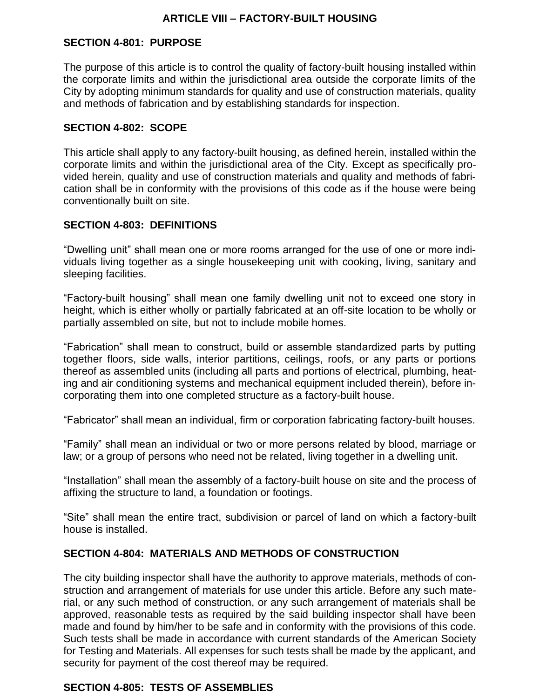### **ARTICLE VIII – FACTORY-BUILT HOUSING**

### **SECTION 4-801: PURPOSE**

The purpose of this article is to control the quality of factory-built housing installed within the corporate limits and within the jurisdictional area outside the corporate limits of the City by adopting minimum standards for quality and use of construction materials, quality and methods of fabrication and by establishing standards for inspection.

#### **SECTION 4-802: SCOPE**

This article shall apply to any factory-built housing, as defined herein, installed within the corporate limits and within the jurisdictional area of the City. Except as specifically provided herein, quality and use of construction materials and quality and methods of fabrication shall be in conformity with the provisions of this code as if the house were being conventionally built on site.

### **SECTION 4-803: DEFINITIONS**

"Dwelling unit" shall mean one or more rooms arranged for the use of one or more individuals living together as a single housekeeping unit with cooking, living, sanitary and sleeping facilities.

"Factory-built housing" shall mean one family dwelling unit not to exceed one story in height, which is either wholly or partially fabricated at an off-site location to be wholly or partially assembled on site, but not to include mobile homes.

"Fabrication" shall mean to construct, build or assemble standardized parts by putting together floors, side walls, interior partitions, ceilings, roofs, or any parts or portions thereof as assembled units (including all parts and portions of electrical, plumbing, heating and air conditioning systems and mechanical equipment included therein), before incorporating them into one completed structure as a factory-built house.

"Fabricator" shall mean an individual, firm or corporation fabricating factory-built houses.

"Family" shall mean an individual or two or more persons related by blood, marriage or law; or a group of persons who need not be related, living together in a dwelling unit.

"Installation" shall mean the assembly of a factory-built house on site and the process of affixing the structure to land, a foundation or footings.

"Site" shall mean the entire tract, subdivision or parcel of land on which a factory-built house is installed.

### **SECTION 4-804: MATERIALS AND METHODS OF CONSTRUCTION**

The city building inspector shall have the authority to approve materials, methods of construction and arrangement of materials for use under this article. Before any such material, or any such method of construction, or any such arrangement of materials shall be approved, reasonable tests as required by the said building inspector shall have been made and found by him/her to be safe and in conformity with the provisions of this code. Such tests shall be made in accordance with current standards of the American Society for Testing and Materials. All expenses for such tests shall be made by the applicant, and security for payment of the cost thereof may be required.

### **SECTION 4-805: TESTS OF ASSEMBLIES**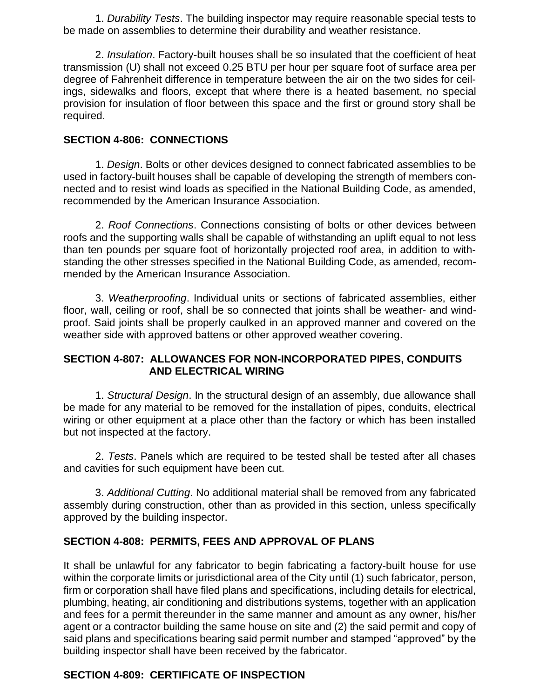1. *Durability Tests*. The building inspector may require reasonable special tests to be made on assemblies to determine their durability and weather resistance.

2. *Insulation*. Factory-built houses shall be so insulated that the coefficient of heat transmission (U) shall not exceed 0.25 BTU per hour per square foot of surface area per degree of Fahrenheit difference in temperature between the air on the two sides for ceilings, sidewalks and floors, except that where there is a heated basement, no special provision for insulation of floor between this space and the first or ground story shall be required.

### **SECTION 4-806: CONNECTIONS**

1. *Design*. Bolts or other devices designed to connect fabricated assemblies to be used in factory-built houses shall be capable of developing the strength of members connected and to resist wind loads as specified in the National Building Code, as amended, recommended by the American Insurance Association.

2. *Roof Connections*. Connections consisting of bolts or other devices between roofs and the supporting walls shall be capable of withstanding an uplift equal to not less than ten pounds per square foot of horizontally projected roof area, in addition to withstanding the other stresses specified in the National Building Code, as amended, recommended by the American Insurance Association.

3. *Weatherproofing*. Individual units or sections of fabricated assemblies, either floor, wall, ceiling or roof, shall be so connected that joints shall be weather- and windproof. Said joints shall be properly caulked in an approved manner and covered on the weather side with approved battens or other approved weather covering.

### **SECTION 4-807: ALLOWANCES FOR NON-INCORPORATED PIPES, CONDUITS AND ELECTRICAL WIRING**

1. *Structural Design*. In the structural design of an assembly, due allowance shall be made for any material to be removed for the installation of pipes, conduits, electrical wiring or other equipment at a place other than the factory or which has been installed but not inspected at the factory.

2. *Tests*. Panels which are required to be tested shall be tested after all chases and cavities for such equipment have been cut.

3. *Additional Cutting*. No additional material shall be removed from any fabricated assembly during construction, other than as provided in this section, unless specifically approved by the building inspector.

# **SECTION 4-808: PERMITS, FEES AND APPROVAL OF PLANS**

It shall be unlawful for any fabricator to begin fabricating a factory-built house for use within the corporate limits or jurisdictional area of the City until (1) such fabricator, person, firm or corporation shall have filed plans and specifications, including details for electrical, plumbing, heating, air conditioning and distributions systems, together with an application and fees for a permit thereunder in the same manner and amount as any owner, his/her agent or a contractor building the same house on site and (2) the said permit and copy of said plans and specifications bearing said permit number and stamped "approved" by the building inspector shall have been received by the fabricator.

### **SECTION 4-809: CERTIFICATE OF INSPECTION**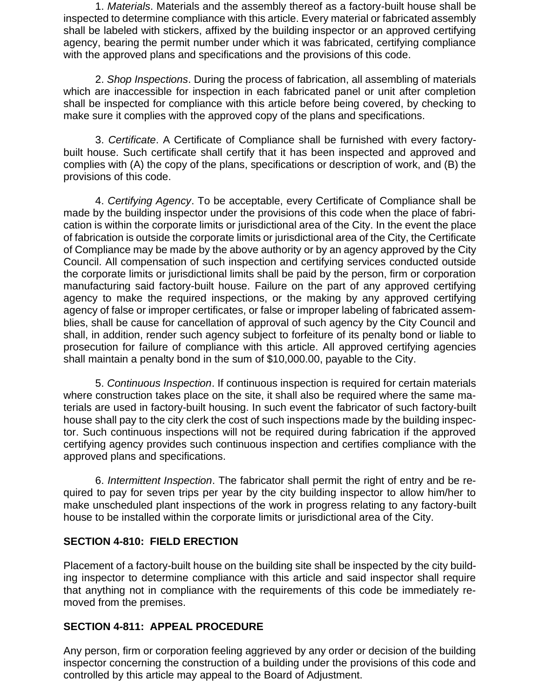1. *Materials*. Materials and the assembly thereof as a factory-built house shall be inspected to determine compliance with this article. Every material or fabricated assembly shall be labeled with stickers, affixed by the building inspector or an approved certifying agency, bearing the permit number under which it was fabricated, certifying compliance with the approved plans and specifications and the provisions of this code.

2. *Shop Inspections*. During the process of fabrication, all assembling of materials which are inaccessible for inspection in each fabricated panel or unit after completion shall be inspected for compliance with this article before being covered, by checking to make sure it complies with the approved copy of the plans and specifications.

3. *Certificate*. A Certificate of Compliance shall be furnished with every factorybuilt house. Such certificate shall certify that it has been inspected and approved and complies with (A) the copy of the plans, specifications or description of work, and (B) the provisions of this code.

4. *Certifying Agency*. To be acceptable, every Certificate of Compliance shall be made by the building inspector under the provisions of this code when the place of fabrication is within the corporate limits or jurisdictional area of the City. In the event the place of fabrication is outside the corporate limits or jurisdictional area of the City, the Certificate of Compliance may be made by the above authority or by an agency approved by the City Council. All compensation of such inspection and certifying services conducted outside the corporate limits or jurisdictional limits shall be paid by the person, firm or corporation manufacturing said factory-built house. Failure on the part of any approved certifying agency to make the required inspections, or the making by any approved certifying agency of false or improper certificates, or false or improper labeling of fabricated assemblies, shall be cause for cancellation of approval of such agency by the City Council and shall, in addition, render such agency subject to forfeiture of its penalty bond or liable to prosecution for failure of compliance with this article. All approved certifying agencies shall maintain a penalty bond in the sum of \$10,000.00, payable to the City.

5. *Continuous Inspection*. If continuous inspection is required for certain materials where construction takes place on the site, it shall also be required where the same materials are used in factory-built housing. In such event the fabricator of such factory-built house shall pay to the city clerk the cost of such inspections made by the building inspector. Such continuous inspections will not be required during fabrication if the approved certifying agency provides such continuous inspection and certifies compliance with the approved plans and specifications.

6. *Intermittent Inspection*. The fabricator shall permit the right of entry and be required to pay for seven trips per year by the city building inspector to allow him/her to make unscheduled plant inspections of the work in progress relating to any factory-built house to be installed within the corporate limits or jurisdictional area of the City.

### **SECTION 4-810: FIELD ERECTION**

Placement of a factory-built house on the building site shall be inspected by the city building inspector to determine compliance with this article and said inspector shall require that anything not in compliance with the requirements of this code be immediately removed from the premises.

# **SECTION 4-811: APPEAL PROCEDURE**

Any person, firm or corporation feeling aggrieved by any order or decision of the building inspector concerning the construction of a building under the provisions of this code and controlled by this article may appeal to the Board of Adjustment.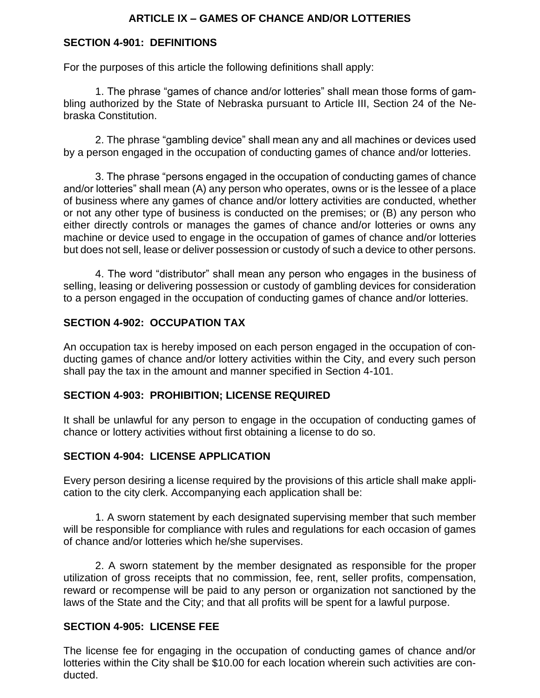# **ARTICLE IX – GAMES OF CHANCE AND/OR LOTTERIES**

### **SECTION 4-901: DEFINITIONS**

For the purposes of this article the following definitions shall apply:

1. The phrase "games of chance and/or lotteries" shall mean those forms of gambling authorized by the State of Nebraska pursuant to Article III, Section 24 of the Nebraska Constitution.

2. The phrase "gambling device" shall mean any and all machines or devices used by a person engaged in the occupation of conducting games of chance and/or lotteries.

3. The phrase "persons engaged in the occupation of conducting games of chance and/or lotteries" shall mean (A) any person who operates, owns or is the lessee of a place of business where any games of chance and/or lottery activities are conducted, whether or not any other type of business is conducted on the premises; or (B) any person who either directly controls or manages the games of chance and/or lotteries or owns any machine or device used to engage in the occupation of games of chance and/or lotteries but does not sell, lease or deliver possession or custody of such a device to other persons.

4. The word "distributor" shall mean any person who engages in the business of selling, leasing or delivering possession or custody of gambling devices for consideration to a person engaged in the occupation of conducting games of chance and/or lotteries.

### **SECTION 4-902: OCCUPATION TAX**

An occupation tax is hereby imposed on each person engaged in the occupation of conducting games of chance and/or lottery activities within the City, and every such person shall pay the tax in the amount and manner specified in Section 4-101.

### **SECTION 4-903: PROHIBITION; LICENSE REQUIRED**

It shall be unlawful for any person to engage in the occupation of conducting games of chance or lottery activities without first obtaining a license to do so.

### **SECTION 4-904: LICENSE APPLICATION**

Every person desiring a license required by the provisions of this article shall make application to the city clerk. Accompanying each application shall be:

1. A sworn statement by each designated supervising member that such member will be responsible for compliance with rules and regulations for each occasion of games of chance and/or lotteries which he/she supervises.

2. A sworn statement by the member designated as responsible for the proper utilization of gross receipts that no commission, fee, rent, seller profits, compensation, reward or recompense will be paid to any person or organization not sanctioned by the laws of the State and the City; and that all profits will be spent for a lawful purpose.

### **SECTION 4-905: LICENSE FEE**

The license fee for engaging in the occupation of conducting games of chance and/or lotteries within the City shall be \$10.00 for each location wherein such activities are conducted.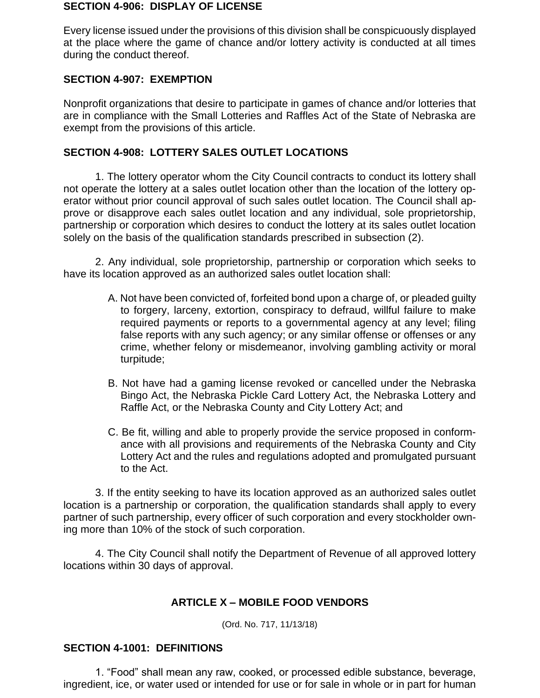#### **SECTION 4-906: DISPLAY OF LICENSE**

Every license issued under the provisions of this division shall be conspicuously displayed at the place where the game of chance and/or lottery activity is conducted at all times during the conduct thereof.

### **SECTION 4-907: EXEMPTION**

Nonprofit organizations that desire to participate in games of chance and/or lotteries that are in compliance with the Small Lotteries and Raffles Act of the State of Nebraska are exempt from the provisions of this article.

### **SECTION 4-908: LOTTERY SALES OUTLET LOCATIONS**

1. The lottery operator whom the City Council contracts to conduct its lottery shall not operate the lottery at a sales outlet location other than the location of the lottery operator without prior council approval of such sales outlet location. The Council shall approve or disapprove each sales outlet location and any individual, sole proprietorship, partnership or corporation which desires to conduct the lottery at its sales outlet location solely on the basis of the qualification standards prescribed in subsection (2).

2. Any individual, sole proprietorship, partnership or corporation which seeks to have its location approved as an authorized sales outlet location shall:

- A. Not have been convicted of, forfeited bond upon a charge of, or pleaded guilty to forgery, larceny, extortion, conspiracy to defraud, willful failure to make required payments or reports to a governmental agency at any level; filing false reports with any such agency; or any similar offense or offenses or any crime, whether felony or misdemeanor, involving gambling activity or moral turpitude;
- B. Not have had a gaming license revoked or cancelled under the Nebraska Bingo Act, the Nebraska Pickle Card Lottery Act, the Nebraska Lottery and Raffle Act, or the Nebraska County and City Lottery Act; and
- C. Be fit, willing and able to properly provide the service proposed in conformance with all provisions and requirements of the Nebraska County and City Lottery Act and the rules and regulations adopted and promulgated pursuant to the Act.

3. If the entity seeking to have its location approved as an authorized sales outlet location is a partnership or corporation, the qualification standards shall apply to every partner of such partnership, every officer of such corporation and every stockholder owning more than 10% of the stock of such corporation.

4. The City Council shall notify the Department of Revenue of all approved lottery locations within 30 days of approval.

# **ARTICLE X – MOBILE FOOD VENDORS**

(Ord. No. 717, 11/13/18)

### **SECTION 4-1001: DEFINITIONS**

1. "Food" shall mean any raw, cooked, or processed edible substance, beverage, ingredient, ice, or water used or intended for use or for sale in whole or in part for human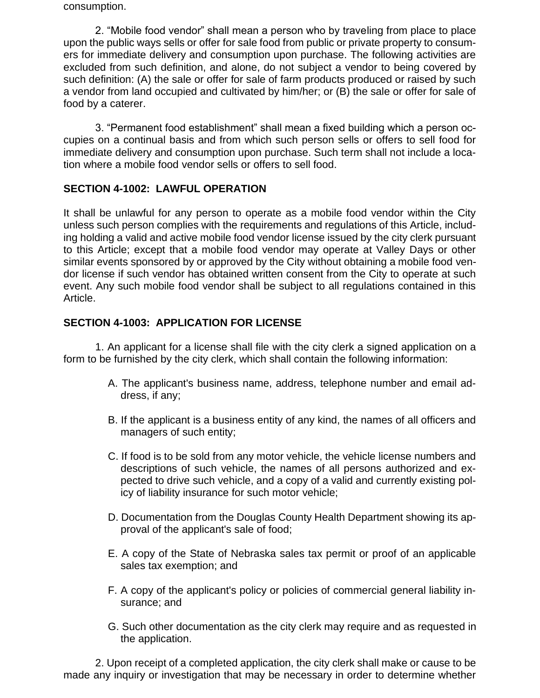consumption.

2. "Mobile food vendor" shall mean a person who by traveling from place to place upon the public ways sells or offer for sale food from public or private property to consumers for immediate delivery and consumption upon purchase. The following activities are excluded from such definition, and alone, do not subject a vendor to being covered by such definition: (A) the sale or offer for sale of farm products produced or raised by such a vendor from land occupied and cultivated by him/her; or (B) the sale or offer for sale of food by a caterer.

3. "Permanent food establishment" shall mean a fixed building which a person occupies on a continual basis and from which such person sells or offers to sell food for immediate delivery and consumption upon purchase. Such term shall not include a location where a mobile food vendor sells or offers to sell food.

# **SECTION 4-1002: LAWFUL OPERATION**

It shall be unlawful for any person to operate as a mobile food vendor within the City unless such person complies with the requirements and regulations of this Article, including holding a valid and active mobile food vendor license issued by the city clerk pursuant to this Article; except that a mobile food vendor may operate at Valley Days or other similar events sponsored by or approved by the City without obtaining a mobile food vendor license if such vendor has obtained written consent from the City to operate at such event. Any such mobile food vendor shall be subject to all regulations contained in this Article.

### **SECTION 4-1003: APPLICATION FOR LICENSE**

1. An applicant for a license shall file with the city clerk a signed application on a form to be furnished by the city clerk, which shall contain the following information:

- A. The applicant's business name, address, telephone number and email address, if any;
- B. If the applicant is a business entity of any kind, the names of all officers and managers of such entity;
- C. If food is to be sold from any motor vehicle, the vehicle license numbers and descriptions of such vehicle, the names of all persons authorized and expected to drive such vehicle, and a copy of a valid and currently existing policy of liability insurance for such motor vehicle;
- D. Documentation from the Douglas County Health Department showing its approval of the applicant's sale of food;
- E. A copy of the State of Nebraska sales tax permit or proof of an applicable sales tax exemption; and
- F. A copy of the applicant's policy or policies of commercial general liability insurance; and
- G. Such other documentation as the city clerk may require and as requested in the application.

2. Upon receipt of a completed application, the city clerk shall make or cause to be made any inquiry or investigation that may be necessary in order to determine whether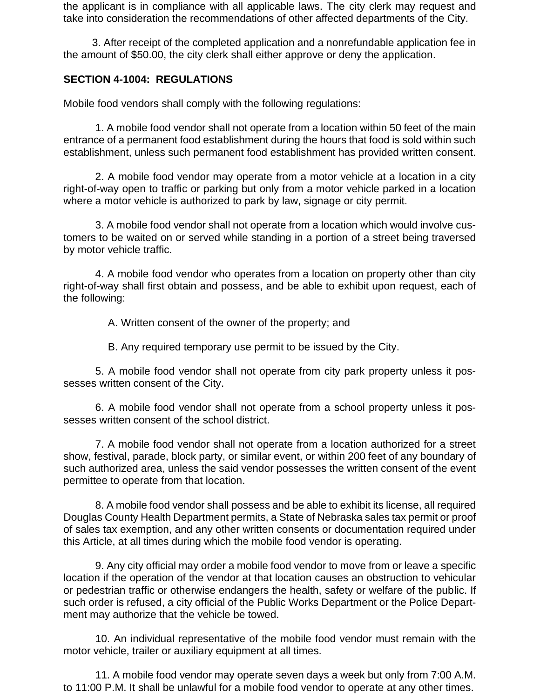the applicant is in compliance with all applicable laws. The city clerk may request and take into consideration the recommendations of other affected departments of the City.

3. After receipt of the completed application and a nonrefundable application fee in the amount of \$50.00, the city clerk shall either approve or deny the application.

### **SECTION 4-1004: REGULATIONS**

Mobile food vendors shall comply with the following regulations:

1. A mobile food vendor shall not operate from a location within 50 feet of the main entrance of a permanent food establishment during the hours that food is sold within such establishment, unless such permanent food establishment has provided written consent.

2. A mobile food vendor may operate from a motor vehicle at a location in a city right-of-way open to traffic or parking but only from a motor vehicle parked in a location where a motor vehicle is authorized to park by law, signage or city permit.

3. A mobile food vendor shall not operate from a location which would involve customers to be waited on or served while standing in a portion of a street being traversed by motor vehicle traffic.

4. A mobile food vendor who operates from a location on property other than city right-of-way shall first obtain and possess, and be able to exhibit upon request, each of the following:

A. Written consent of the owner of the property; and

B. Any required temporary use permit to be issued by the City.

5. A mobile food vendor shall not operate from city park property unless it possesses written consent of the City.

6. A mobile food vendor shall not operate from a school property unless it possesses written consent of the school district.

7. A mobile food vendor shall not operate from a location authorized for a street show, festival, parade, block party, or similar event, or within 200 feet of any boundary of such authorized area, unless the said vendor possesses the written consent of the event permittee to operate from that location.

8. A mobile food vendor shall possess and be able to exhibit its license, all required Douglas County Health Department permits, a State of Nebraska sales tax permit or proof of sales tax exemption, and any other written consents or documentation required under this Article, at all times during which the mobile food vendor is operating.

9. Any city official may order a mobile food vendor to move from or leave a specific location if the operation of the vendor at that location causes an obstruction to vehicular or pedestrian traffic or otherwise endangers the health, safety or welfare of the public. If such order is refused, a city official of the Public Works Department or the Police Department may authorize that the vehicle be towed.

10. An individual representative of the mobile food vendor must remain with the motor vehicle, trailer or auxiliary equipment at all times.

11. A mobile food vendor may operate seven days a week but only from 7:00 A.M. to 11:00 P.M. It shall be unlawful for a mobile food vendor to operate at any other times.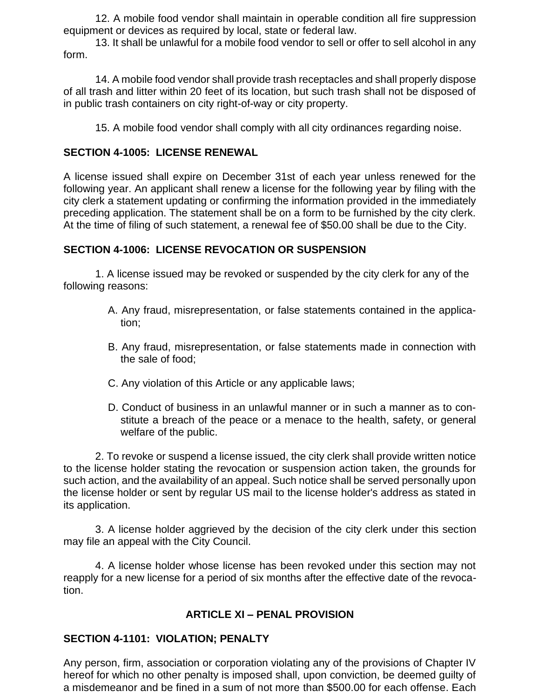12. A mobile food vendor shall maintain in operable condition all fire suppression equipment or devices as required by local, state or federal law.

13. It shall be unlawful for a mobile food vendor to sell or offer to sell alcohol in any form.

14. A mobile food vendor shall provide trash receptacles and shall properly dispose of all trash and litter within 20 feet of its location, but such trash shall not be disposed of in public trash containers on city right-of-way or city property.

15. A mobile food vendor shall comply with all city ordinances regarding noise.

### **SECTION 4-1005: LICENSE RENEWAL**

A license issued shall expire on December 31st of each year unless renewed for the following year. An applicant shall renew a license for the following year by filing with the city clerk a statement updating or confirming the information provided in the immediately preceding application. The statement shall be on a form to be furnished by the city clerk. At the time of filing of such statement, a renewal fee of \$50.00 shall be due to the City.

### **SECTION 4-1006: LICENSE REVOCATION OR SUSPENSION**

1. A license issued may be revoked or suspended by the city clerk for any of the following reasons:

- A. Any fraud, misrepresentation, or false statements contained in the application;
- B. Any fraud, misrepresentation, or false statements made in connection with the sale of food;
- C. Any violation of this Article or any applicable laws;
- D. Conduct of business in an unlawful manner or in such a manner as to constitute a breach of the peace or a menace to the health, safety, or general welfare of the public.

2. To revoke or suspend a license issued, the city clerk shall provide written notice to the license holder stating the revocation or suspension action taken, the grounds for such action, and the availability of an appeal. Such notice shall be served personally upon the license holder or sent by regular US mail to the license holder's address as stated in its application.

3. A license holder aggrieved by the decision of the city clerk under this section may file an appeal with the City Council.

4. A license holder whose license has been revoked under this section may not reapply for a new license for a period of six months after the effective date of the revocation.

# **ARTICLE XI – PENAL PROVISION**

# **SECTION 4-1101: VIOLATION; PENALTY**

Any person, firm, association or corporation violating any of the provisions of Chapter IV hereof for which no other penalty is imposed shall, upon conviction, be deemed guilty of a misdemeanor and be fined in a sum of not more than \$500.00 for each offense. Each